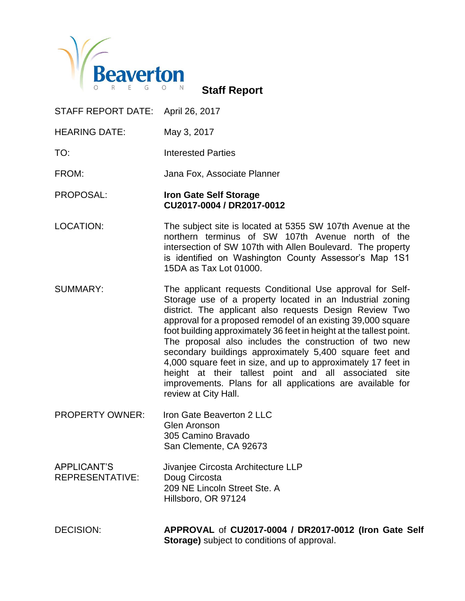

**Staff Report**

STAFF REPORT DATE: April 26, 2017

HEARING DATE: May 3, 2017

TO: Interested Parties

FROM: Jana Fox, Associate Planner

PROPOSAL: **Iron Gate Self Storage CU2017-0004 / DR2017-0012** 

- LOCATION: The subject site is located at 5355 SW 107th Avenue at the northern terminus of SW 107th Avenue north of the intersection of SW 107th with Allen Boulevard. The property is identified on Washington County Assessor's Map 1S1 15DA as Tax Lot 01000.
- SUMMARY: The applicant requests Conditional Use approval for Self-Storage use of a property located in an Industrial zoning district. The applicant also requests Design Review Two approval for a proposed remodel of an existing 39,000 square foot building approximately 36 feet in height at the tallest point. The proposal also includes the construction of two new secondary buildings approximately 5,400 square feet and 4,000 square feet in size, and up to approximately 17 feet in height at their tallest point and all associated site improvements. Plans for all applications are available for review at City Hall.
- PROPERTY OWNER: Iron Gate Beaverton 2 LLC Glen Aronson 305 Camino Bravado San Clemente, CA 92673
- APPLICANT'S Jivanjee Circosta Architecture LLP REPRESENTATIVE: Doug Circosta 209 NE Lincoln Street Ste. A Hillsboro, OR 97124

DECISION: **APPROVAL** of **CU2017-0004 / DR2017-0012 (Iron Gate Self Storage)** subject to conditions of approval.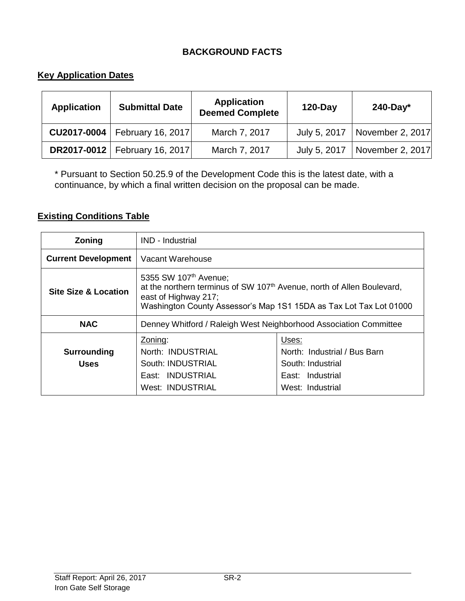# **BACKGROUND FACTS**

# **Key Application Dates**

| <b>Application</b> | <b>Submittal Date</b>                  | <b>Application</b><br><b>Deemed Complete</b> | $120$ -Day | $240$ -Day $*$                  |
|--------------------|----------------------------------------|----------------------------------------------|------------|---------------------------------|
| CU2017-0004        | <b>February 16, 2017</b>               | March 7, 2017                                |            | July 5, 2017   November 2, 2017 |
|                    | <b>DR2017-0012</b>   February 16, 2017 | March 7, 2017                                |            | July 5, 2017   November 2, 2017 |

\* Pursuant to Section 50.25.9 of the Development Code this is the latest date, with a continuance, by which a final written decision on the proposal can be made.

# **Existing Conditions Table**

| Zoning                            | <b>IND - Industrial</b>                                                                                                                                                                                               |                                                                                                    |  |
|-----------------------------------|-----------------------------------------------------------------------------------------------------------------------------------------------------------------------------------------------------------------------|----------------------------------------------------------------------------------------------------|--|
| <b>Current Development</b>        | Vacant Warehouse                                                                                                                                                                                                      |                                                                                                    |  |
| <b>Site Size &amp; Location</b>   | 5355 SW 107 <sup>th</sup> Avenue;<br>at the northern terminus of SW 107 <sup>th</sup> Avenue, north of Allen Boulevard,<br>east of Highway 217;<br>Washington County Assessor's Map 1S1 15DA as Tax Lot Tax Lot 01000 |                                                                                                    |  |
| <b>NAC</b>                        | Denney Whitford / Raleigh West Neighborhood Association Committee                                                                                                                                                     |                                                                                                    |  |
| <b>Surrounding</b><br><b>Uses</b> | Zoning:<br>North: INDUSTRIAL<br>South: INDUSTRIAL<br>East: INDUSTRIAL<br><b>West: INDUSTRIAL</b>                                                                                                                      | Uses:<br>North: Industrial / Bus Barn<br>South: Industrial<br>East: Industrial<br>West: Industrial |  |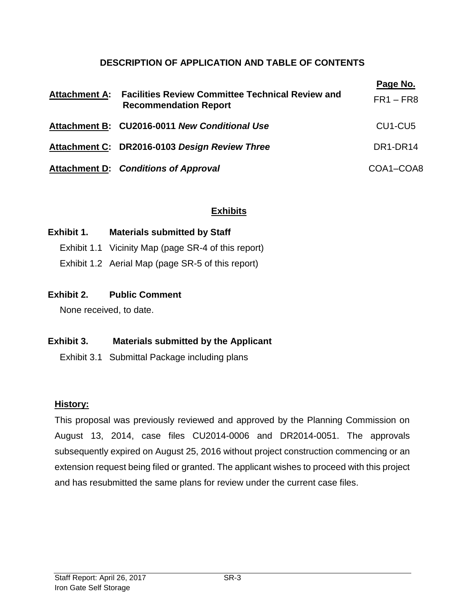# **DESCRIPTION OF APPLICATION AND TABLE OF CONTENTS**

| <b>Attachment A:</b> | <b>Facilities Review Committee Technical Review and</b><br><b>Recommendation Report</b> | Page No.<br>$FR1 - FR8$          |
|----------------------|-----------------------------------------------------------------------------------------|----------------------------------|
|                      | Attachment B: CU2016-0011 New Conditional Use                                           | CU <sub>1</sub> -CU <sub>5</sub> |
|                      | Attachment C: DR2016-0103 Design Review Three                                           | DR1-DR14                         |
|                      | <b>Attachment D:</b> Conditions of Approval                                             | COA1-COA8                        |

# **Exhibits**

### **Exhibit 1. Materials submitted by Staff**

- Exhibit 1.1 Vicinity Map (page SR-4 of this report)
- Exhibit 1.2 Aerial Map (page SR-5 of this report)

### **Exhibit 2. Public Comment**

None received, to date.

# **Exhibit 3. Materials submitted by the Applicant**

Exhibit 3.1 Submittal Package including plans

# **History:**

This proposal was previously reviewed and approved by the Planning Commission on August 13, 2014, case files CU2014-0006 and DR2014-0051. The approvals subsequently expired on August 25, 2016 without project construction commencing or an extension request being filed or granted. The applicant wishes to proceed with this project and has resubmitted the same plans for review under the current case files.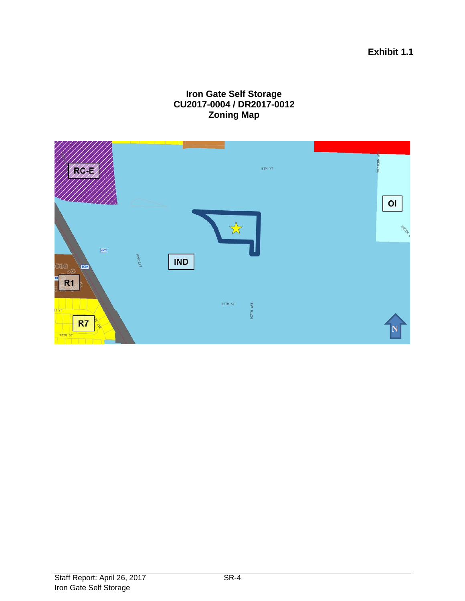**Exhibit 1.1**

# **Iron Gate Self Storage CU2017-0004 / DR2017-0012 Zoning Map**

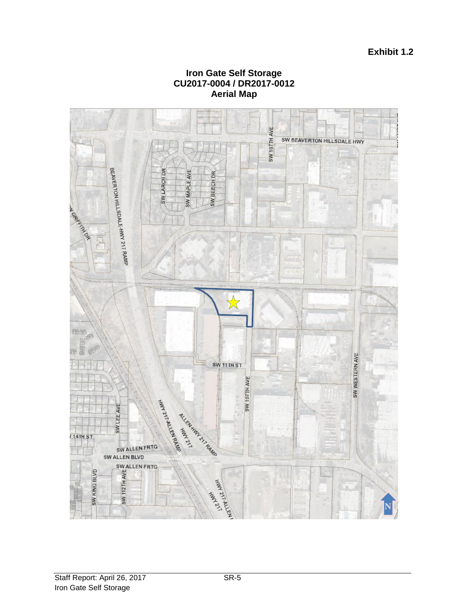

#### **Iron Gate Self Storage CU2017-0004 / DR2017-0012 Aerial Map**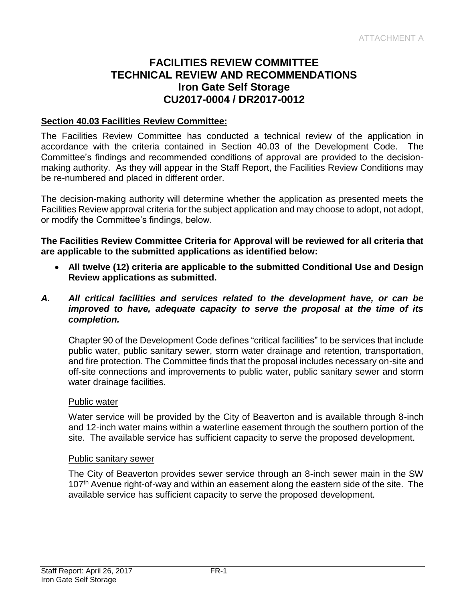# **FACILITIES REVIEW COMMITTEE TECHNICAL REVIEW AND RECOMMENDATIONS Iron Gate Self Storage CU2017-0004 / DR2017-0012**

### **Section 40.03 Facilities Review Committee:**

The Facilities Review Committee has conducted a technical review of the application in accordance with the criteria contained in Section 40.03 of the Development Code. The Committee's findings and recommended conditions of approval are provided to the decisionmaking authority. As they will appear in the Staff Report, the Facilities Review Conditions may be re-numbered and placed in different order.

The decision-making authority will determine whether the application as presented meets the Facilities Review approval criteria for the subject application and may choose to adopt, not adopt, or modify the Committee's findings, below.

**The Facilities Review Committee Criteria for Approval will be reviewed for all criteria that are applicable to the submitted applications as identified below:**

 **All twelve (12) criteria are applicable to the submitted Conditional Use and Design Review applications as submitted.**

#### *A. All critical facilities and services related to the development have, or can be improved to have, adequate capacity to serve the proposal at the time of its completion.*

Chapter 90 of the Development Code defines "critical facilities" to be services that include public water, public sanitary sewer, storm water drainage and retention, transportation, and fire protection. The Committee finds that the proposal includes necessary on-site and off-site connections and improvements to public water, public sanitary sewer and storm water drainage facilities.

#### Public water

Water service will be provided by the City of Beaverton and is available through 8-inch and 12-inch water mains within a waterline easement through the southern portion of the site. The available service has sufficient capacity to serve the proposed development.

#### Public sanitary sewer

The City of Beaverton provides sewer service through an 8-inch sewer main in the SW 107<sup>th</sup> Avenue right-of-way and within an easement along the eastern side of the site. The available service has sufficient capacity to serve the proposed development.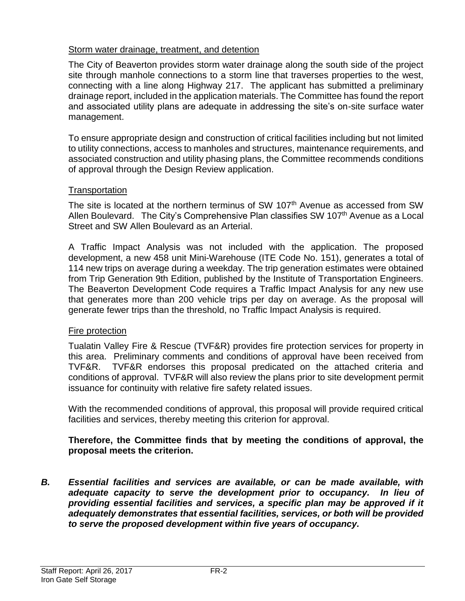# Storm water drainage, treatment, and detention

The City of Beaverton provides storm water drainage along the south side of the project site through manhole connections to a storm line that traverses properties to the west, connecting with a line along Highway 217. The applicant has submitted a preliminary drainage report, included in the application materials. The Committee has found the report and associated utility plans are adequate in addressing the site's on-site surface water management.

To ensure appropriate design and construction of critical facilities including but not limited to utility connections, access to manholes and structures, maintenance requirements, and associated construction and utility phasing plans, the Committee recommends conditions of approval through the Design Review application.

# **Transportation**

The site is located at the northern terminus of SW 107<sup>th</sup> Avenue as accessed from SW Allen Boulevard. The City's Comprehensive Plan classifies SW 107<sup>th</sup> Avenue as a Local Street and SW Allen Boulevard as an Arterial.

A Traffic Impact Analysis was not included with the application. The proposed development, a new 458 unit Mini-Warehouse (ITE Code No. 151), generates a total of 114 new trips on average during a weekday. The trip generation estimates were obtained from Trip Generation 9th Edition, published by the Institute of Transportation Engineers. The Beaverton Development Code requires a Traffic Impact Analysis for any new use that generates more than 200 vehicle trips per day on average. As the proposal will generate fewer trips than the threshold, no Traffic Impact Analysis is required.

# Fire protection

Tualatin Valley Fire & Rescue (TVF&R) provides fire protection services for property in this area. Preliminary comments and conditions of approval have been received from TVF&R. TVF&R endorses this proposal predicated on the attached criteria and conditions of approval. TVF&R will also review the plans prior to site development permit issuance for continuity with relative fire safety related issues.

With the recommended conditions of approval, this proposal will provide required critical facilities and services, thereby meeting this criterion for approval.

# **Therefore, the Committee finds that by meeting the conditions of approval, the proposal meets the criterion.**

*B. Essential facilities and services are available, or can be made available, with adequate capacity to serve the development prior to occupancy. In lieu of*  providing essential facilities and services, a specific plan may be approved if it *adequately demonstrates that essential facilities, services, or both will be provided to serve the proposed development within five years of occupancy.*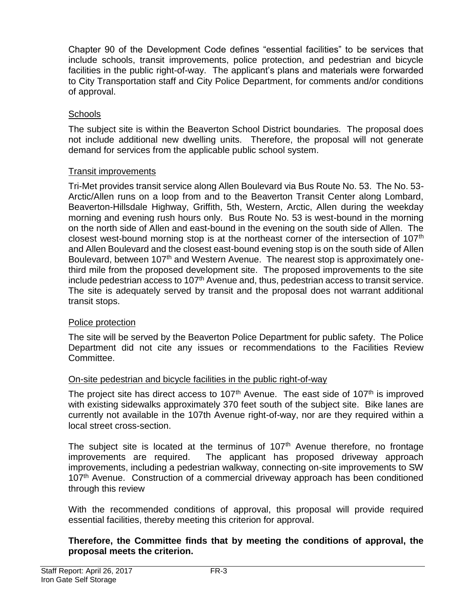Chapter 90 of the Development Code defines "essential facilities" to be services that include schools, transit improvements, police protection, and pedestrian and bicycle facilities in the public right-of-way. The applicant's plans and materials were forwarded to City Transportation staff and City Police Department, for comments and/or conditions of approval.

# **Schools**

The subject site is within the Beaverton School District boundaries. The proposal does not include additional new dwelling units. Therefore, the proposal will not generate demand for services from the applicable public school system.

# Transit improvements

Tri-Met provides transit service along Allen Boulevard via Bus Route No. 53. The No. 53- Arctic/Allen runs on a loop from and to the Beaverton Transit Center along Lombard, Beaverton-Hillsdale Highway, Griffith, 5th, Western, Arctic, Allen during the weekday morning and evening rush hours only. Bus Route No. 53 is west-bound in the morning on the north side of Allen and east-bound in the evening on the south side of Allen. The closest west-bound morning stop is at the northeast corner of the intersection of 107<sup>th</sup> and Allen Boulevard and the closest east-bound evening stop is on the south side of Allen Boulevard, between 107<sup>th</sup> and Western Avenue. The nearest stop is approximately onethird mile from the proposed development site. The proposed improvements to the site include pedestrian access to 107<sup>th</sup> Avenue and, thus, pedestrian access to transit service. The site is adequately served by transit and the proposal does not warrant additional transit stops.

# Police protection

The site will be served by the Beaverton Police Department for public safety. The Police Department did not cite any issues or recommendations to the Facilities Review Committee.

# On-site pedestrian and bicycle facilities in the public right-of-way

The project site has direct access to 107<sup>th</sup> Avenue. The east side of 107<sup>th</sup> is improved with existing sidewalks approximately 370 feet south of the subject site. Bike lanes are currently not available in the 107th Avenue right-of-way, nor are they required within a local street cross-section.

The subject site is located at the terminus of  $107<sup>th</sup>$  Avenue therefore, no frontage improvements are required. The applicant has proposed driveway approach improvements, including a pedestrian walkway, connecting on-site improvements to SW 107<sup>th</sup> Avenue. Construction of a commercial driveway approach has been conditioned through this review

With the recommended conditions of approval, this proposal will provide required essential facilities, thereby meeting this criterion for approval.

### **Therefore, the Committee finds that by meeting the conditions of approval, the proposal meets the criterion.**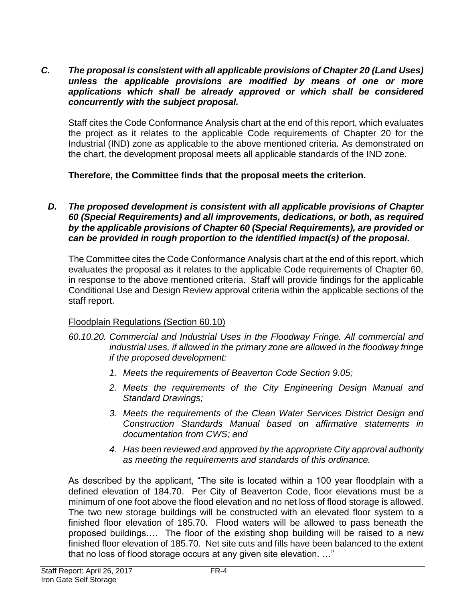*C. The proposal is consistent with all applicable provisions of Chapter 20 (Land Uses) unless the applicable provisions are modified by means of one or more applications which shall be already approved or which shall be considered concurrently with the subject proposal.*

Staff cites the Code Conformance Analysis chart at the end of this report, which evaluates the project as it relates to the applicable Code requirements of Chapter 20 for the Industrial (IND) zone as applicable to the above mentioned criteria. As demonstrated on the chart, the development proposal meets all applicable standards of the IND zone.

**Therefore, the Committee finds that the proposal meets the criterion.** 

*D. The proposed development is consistent with all applicable provisions of Chapter 60 (Special Requirements) and all improvements, dedications, or both, as required by the applicable provisions of Chapter 60 (Special Requirements), are provided or can be provided in rough proportion to the identified impact(s) of the proposal.*

The Committee cites the Code Conformance Analysis chart at the end of this report, which evaluates the proposal as it relates to the applicable Code requirements of Chapter 60, in response to the above mentioned criteria. Staff will provide findings for the applicable Conditional Use and Design Review approval criteria within the applicable sections of the staff report.

# Floodplain Regulations (Section 60.10)

- *60.10.20. Commercial and Industrial Uses in the Floodway Fringe. All commercial and industrial uses, if allowed in the primary zone are allowed in the floodway fringe if the proposed development:*
	- *1. Meets the requirements of Beaverton Code Section 9.05;*
	- *2. Meets the requirements of the City Engineering Design Manual and Standard Drawings;*
	- *3. Meets the requirements of the Clean Water Services District Design and Construction Standards Manual based on affirmative statements in documentation from CWS; and*
	- *4. Has been reviewed and approved by the appropriate City approval authority as meeting the requirements and standards of this ordinance.*

As described by the applicant, "The site is located within a 100 year floodplain with a defined elevation of 184.70. Per City of Beaverton Code, floor elevations must be a minimum of one foot above the flood elevation and no net loss of flood storage is allowed. The two new storage buildings will be constructed with an elevated floor system to a finished floor elevation of 185.70. Flood waters will be allowed to pass beneath the proposed buildings…. The floor of the existing shop building will be raised to a new finished floor elevation of 185.70. Net site cuts and fills have been balanced to the extent that no loss of flood storage occurs at any given site elevation. …"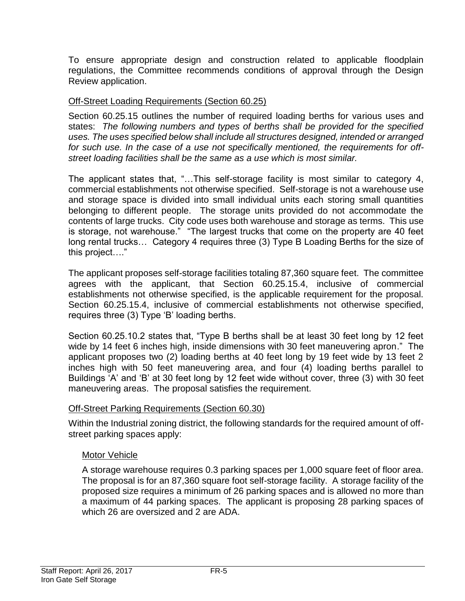To ensure appropriate design and construction related to applicable floodplain regulations, the Committee recommends conditions of approval through the Design Review application.

# Off-Street Loading Requirements (Section 60.25)

Section 60.25.15 outlines the number of required loading berths for various uses and states: *The following numbers and types of berths shall be provided for the specified uses. The uses specified below shall include all structures designed, intended or arranged for such use. In the case of a use not specifically mentioned, the requirements for offstreet loading facilities shall be the same as a use which is most similar.*

The applicant states that, "…This self-storage facility is most similar to category 4, commercial establishments not otherwise specified. Self-storage is not a warehouse use and storage space is divided into small individual units each storing small quantities belonging to different people. The storage units provided do not accommodate the contents of large trucks. City code uses both warehouse and storage as terms. This use is storage, not warehouse." "The largest trucks that come on the property are 40 feet long rental trucks… Category 4 requires three (3) Type B Loading Berths for the size of this project…."

The applicant proposes self-storage facilities totaling 87,360 square feet. The committee agrees with the applicant, that Section 60.25.15.4, inclusive of commercial establishments not otherwise specified, is the applicable requirement for the proposal. Section 60.25.15.4, inclusive of commercial establishments not otherwise specified, requires three (3) Type 'B' loading berths.

Section 60.25.10.2 states that, "Type B berths shall be at least 30 feet long by 12 feet wide by 14 feet 6 inches high, inside dimensions with 30 feet maneuvering apron." The applicant proposes two (2) loading berths at 40 feet long by 19 feet wide by 13 feet 2 inches high with 50 feet maneuvering area, and four (4) loading berths parallel to Buildings 'A' and 'B' at 30 feet long by 12 feet wide without cover, three (3) with 30 feet maneuvering areas. The proposal satisfies the requirement.

# Off-Street Parking Requirements (Section 60.30)

Within the Industrial zoning district, the following standards for the required amount of offstreet parking spaces apply:

#### Motor Vehicle

A storage warehouse requires 0.3 parking spaces per 1,000 square feet of floor area. The proposal is for an 87,360 square foot self-storage facility. A storage facility of the proposed size requires a minimum of 26 parking spaces and is allowed no more than a maximum of 44 parking spaces. The applicant is proposing 28 parking spaces of which 26 are oversized and 2 are ADA.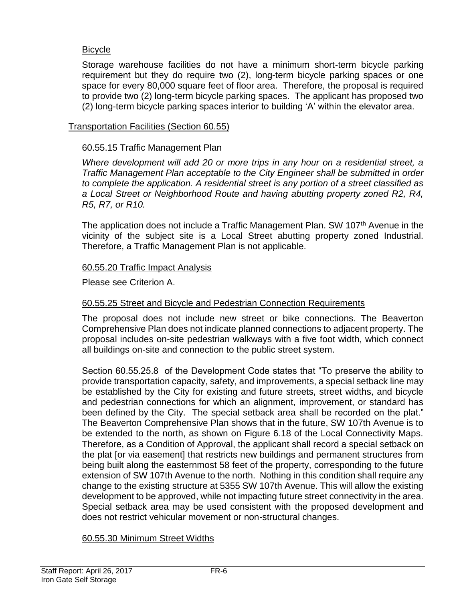# Bicycle

Storage warehouse facilities do not have a minimum short-term bicycle parking requirement but they do require two (2), long-term bicycle parking spaces or one space for every 80,000 square feet of floor area. Therefore, the proposal is required to provide two (2) long-term bicycle parking spaces. The applicant has proposed two (2) long-term bicycle parking spaces interior to building 'A' within the elevator area.

### Transportation Facilities (Section 60.55)

### 60.55.15 Traffic Management Plan

*Where development will add 20 or more trips in any hour on a residential street, a Traffic Management Plan acceptable to the City Engineer shall be submitted in order to complete the application. A residential street is any portion of a street classified as a Local Street or Neighborhood Route and having abutting property zoned R2, R4, R5, R7, or R10.*

The application does not include a Traffic Management Plan. SW 107<sup>th</sup> Avenue in the vicinity of the subject site is a Local Street abutting property zoned Industrial. Therefore, a Traffic Management Plan is not applicable.

### 60.55.20 Traffic Impact Analysis

Please see Criterion A.

### 60.55.25 Street and Bicycle and Pedestrian Connection Requirements

The proposal does not include new street or bike connections. The Beaverton Comprehensive Plan does not indicate planned connections to adjacent property. The proposal includes on-site pedestrian walkways with a five foot width, which connect all buildings on-site and connection to the public street system.

Section 60.55.25.8 of the Development Code states that "To preserve the ability to provide transportation capacity, safety, and improvements, a special setback line may be established by the City for existing and future streets, street widths, and bicycle and pedestrian connections for which an alignment, improvement, or standard has been defined by the City. The special setback area shall be recorded on the plat." The Beaverton Comprehensive Plan shows that in the future, SW 107th Avenue is to be extended to the north, as shown on Figure 6.18 of the Local Connectivity Maps. Therefore, as a Condition of Approval, the applicant shall record a special setback on the plat [or via easement] that restricts new buildings and permanent structures from being built along the easternmost 58 feet of the property, corresponding to the future extension of SW 107th Avenue to the north. Nothing in this condition shall require any change to the existing structure at 5355 SW 107th Avenue. This will allow the existing development to be approved, while not impacting future street connectivity in the area. Special setback area may be used consistent with the proposed development and does not restrict vehicular movement or non-structural changes.

#### 60.55.30 Minimum Street Widths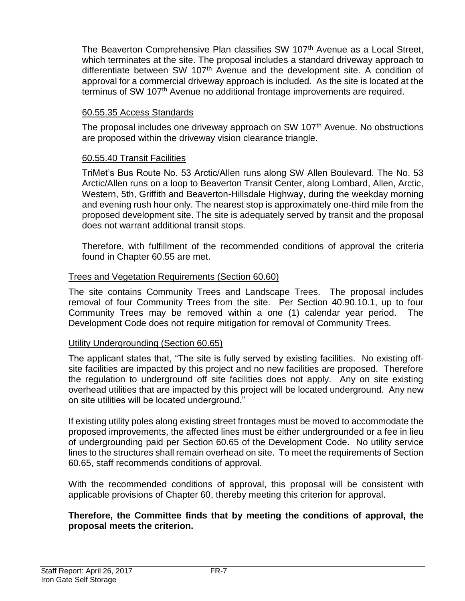The Beaverton Comprehensive Plan classifies SW 107<sup>th</sup> Avenue as a Local Street, which terminates at the site. The proposal includes a standard driveway approach to differentiate between SW 107<sup>th</sup> Avenue and the development site. A condition of approval for a commercial driveway approach is included. As the site is located at the terminus of SW 107<sup>th</sup> Avenue no additional frontage improvements are required.

# 60.55.35 Access Standards

The proposal includes one driveway approach on SW 107<sup>th</sup> Avenue. No obstructions are proposed within the driveway vision clearance triangle.

# 60.55.40 Transit Facilities

TriMet's Bus Route No. 53 Arctic/Allen runs along SW Allen Boulevard. The No. 53 Arctic/Allen runs on a loop to Beaverton Transit Center, along Lombard, Allen, Arctic, Western, 5th, Griffith and Beaverton-Hillsdale Highway, during the weekday morning and evening rush hour only. The nearest stop is approximately one-third mile from the proposed development site. The site is adequately served by transit and the proposal does not warrant additional transit stops.

Therefore, with fulfillment of the recommended conditions of approval the criteria found in Chapter 60.55 are met.

# Trees and Vegetation Requirements (Section 60.60)

The site contains Community Trees and Landscape Trees. The proposal includes removal of four Community Trees from the site. Per Section 40.90.10.1, up to four Community Trees may be removed within a one (1) calendar year period. The Development Code does not require mitigation for removal of Community Trees.

# Utility Undergrounding (Section 60.65)

The applicant states that, "The site is fully served by existing facilities. No existing offsite facilities are impacted by this project and no new facilities are proposed. Therefore the regulation to underground off site facilities does not apply. Any on site existing overhead utilities that are impacted by this project will be located underground. Any new on site utilities will be located underground."

If existing utility poles along existing street frontages must be moved to accommodate the proposed improvements, the affected lines must be either undergrounded or a fee in lieu of undergrounding paid per Section 60.65 of the Development Code. No utility service lines to the structures shall remain overhead on site. To meet the requirements of Section 60.65, staff recommends conditions of approval.

With the recommended conditions of approval, this proposal will be consistent with applicable provisions of Chapter 60, thereby meeting this criterion for approval.

# **Therefore, the Committee finds that by meeting the conditions of approval, the proposal meets the criterion.**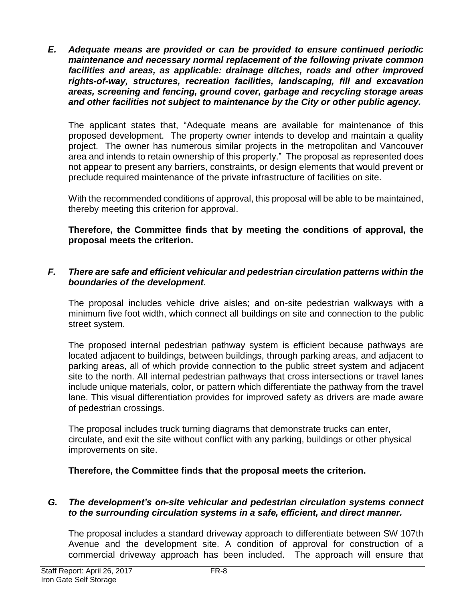*E. Adequate means are provided or can be provided to ensure continued periodic maintenance and necessary normal replacement of the following private common facilities and areas, as applicable: drainage ditches, roads and other improved rights-of-way, structures, recreation facilities, landscaping, fill and excavation areas, screening and fencing, ground cover, garbage and recycling storage areas and other facilities not subject to maintenance by the City or other public agency.*

The applicant states that, "Adequate means are available for maintenance of this proposed development. The property owner intends to develop and maintain a quality project. The owner has numerous similar projects in the metropolitan and Vancouver area and intends to retain ownership of this property." The proposal as represented does not appear to present any barriers, constraints, or design elements that would prevent or preclude required maintenance of the private infrastructure of facilities on site.

With the recommended conditions of approval, this proposal will be able to be maintained, thereby meeting this criterion for approval.

**Therefore, the Committee finds that by meeting the conditions of approval, the proposal meets the criterion.** 

# *F. There are safe and efficient vehicular and pedestrian circulation patterns within the boundaries of the development.*

The proposal includes vehicle drive aisles; and on-site pedestrian walkways with a minimum five foot width, which connect all buildings on site and connection to the public street system.

The proposed internal pedestrian pathway system is efficient because pathways are located adjacent to buildings, between buildings, through parking areas, and adjacent to parking areas, all of which provide connection to the public street system and adjacent site to the north. All internal pedestrian pathways that cross intersections or travel lanes include unique materials, color, or pattern which differentiate the pathway from the travel lane. This visual differentiation provides for improved safety as drivers are made aware of pedestrian crossings.

The proposal includes truck turning diagrams that demonstrate trucks can enter, circulate, and exit the site without conflict with any parking, buildings or other physical improvements on site.

# **Therefore, the Committee finds that the proposal meets the criterion.**

#### *G. The development's on-site vehicular and pedestrian circulation systems connect to the surrounding circulation systems in a safe, efficient, and direct manner.*

The proposal includes a standard driveway approach to differentiate between SW 107th Avenue and the development site. A condition of approval for construction of a commercial driveway approach has been included. The approach will ensure that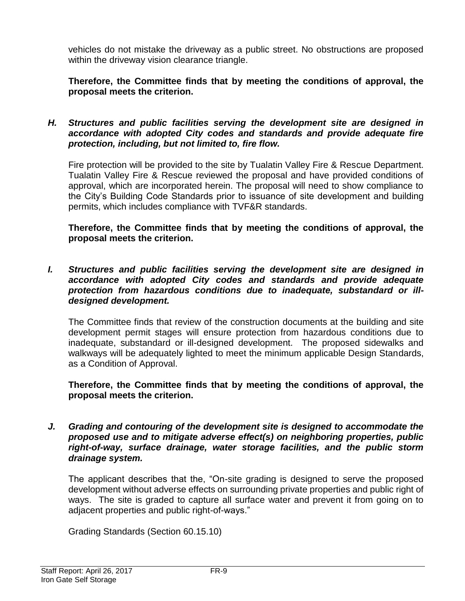vehicles do not mistake the driveway as a public street. No obstructions are proposed within the driveway vision clearance triangle.

**Therefore, the Committee finds that by meeting the conditions of approval, the proposal meets the criterion.** 

*H. Structures and public facilities serving the development site are designed in accordance with adopted City codes and standards and provide adequate fire protection, including, but not limited to, fire flow.*

Fire protection will be provided to the site by Tualatin Valley Fire & Rescue Department. Tualatin Valley Fire & Rescue reviewed the proposal and have provided conditions of approval, which are incorporated herein. The proposal will need to show compliance to the City's Building Code Standards prior to issuance of site development and building permits, which includes compliance with TVF&R standards.

**Therefore, the Committee finds that by meeting the conditions of approval, the proposal meets the criterion.** 

*I. Structures and public facilities serving the development site are designed in accordance with adopted City codes and standards and provide adequate protection from hazardous conditions due to inadequate, substandard or illdesigned development.*

The Committee finds that review of the construction documents at the building and site development permit stages will ensure protection from hazardous conditions due to inadequate, substandard or ill-designed development. The proposed sidewalks and walkways will be adequately lighted to meet the minimum applicable Design Standards, as a Condition of Approval.

**Therefore, the Committee finds that by meeting the conditions of approval, the proposal meets the criterion.** 

*J. Grading and contouring of the development site is designed to accommodate the proposed use and to mitigate adverse effect(s) on neighboring properties, public right-of-way, surface drainage, water storage facilities, and the public storm drainage system.*

The applicant describes that the, "On-site grading is designed to serve the proposed development without adverse effects on surrounding private properties and public right of ways. The site is graded to capture all surface water and prevent it from going on to adjacent properties and public right-of-ways."

Grading Standards (Section 60.15.10)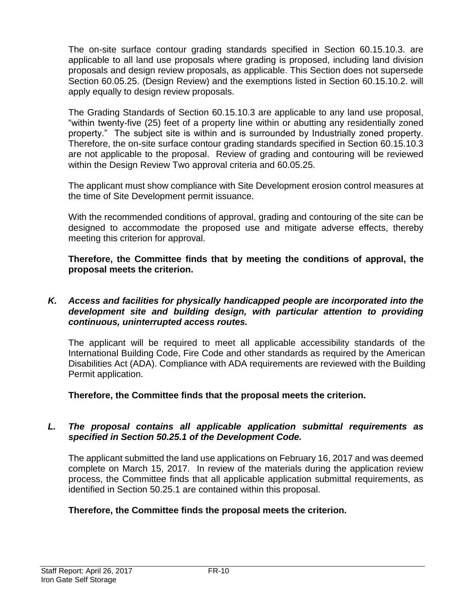The on-site surface contour grading standards specified in Section 60.15.10.3. are applicable to all land use proposals where grading is proposed, including land division proposals and design review proposals, as applicable. This Section does not supersede Section 60.05.25. (Design Review) and the exemptions listed in Section 60.15.10.2. will apply equally to design review proposals.

The Grading Standards of Section 60.15.10.3 are applicable to any land use proposal, "within twenty-five (25) feet of a property line within or abutting any residentially zoned property." The subject site is within and is surrounded by Industrially zoned property. Therefore, the on-site surface contour grading standards specified in Section 60.15.10.3 are not applicable to the proposal. Review of grading and contouring will be reviewed within the Design Review Two approval criteria and 60.05.25.

The applicant must show compliance with Site Development erosion control measures at the time of Site Development permit issuance.

With the recommended conditions of approval, grading and contouring of the site can be designed to accommodate the proposed use and mitigate adverse effects, thereby meeting this criterion for approval.

**Therefore, the Committee finds that by meeting the conditions of approval, the proposal meets the criterion.** 

### *K. Access and facilities for physically handicapped people are incorporated into the development site and building design, with particular attention to providing continuous, uninterrupted access routes.*

The applicant will be required to meet all applicable accessibility standards of the International Building Code, Fire Code and other standards as required by the American Disabilities Act (ADA). Compliance with ADA requirements are reviewed with the Building Permit application.

**Therefore, the Committee finds that the proposal meets the criterion.** 

# *L. The proposal contains all applicable application submittal requirements as specified in Section 50.25.1 of the Development Code.*

The applicant submitted the land use applications on February 16, 2017 and was deemed complete on March 15, 2017. In review of the materials during the application review process, the Committee finds that all applicable application submittal requirements, as identified in Section 50.25.1 are contained within this proposal.

# **Therefore, the Committee finds the proposal meets the criterion.**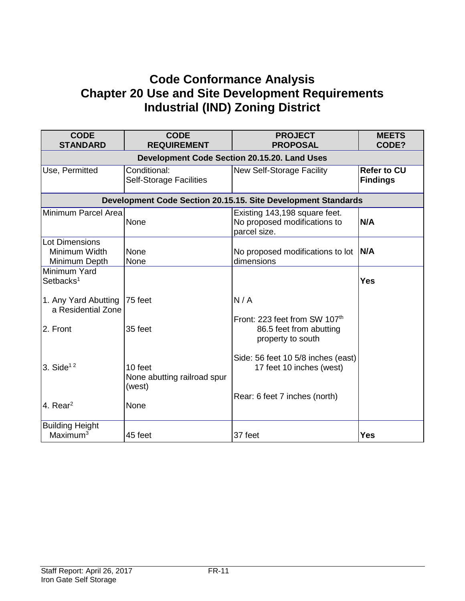# **Code Conformance Analysis Chapter 20 Use and Site Development Requirements Industrial (IND) Zoning District**

| <b>CODE</b><br><b>STANDARD</b>                          | <b>CODE</b><br><b>REQUIREMENT</b>                | <b>PROJECT</b><br><b>PROPOSAL</b>                                             | <b>MEETS</b><br>CODE?                 |  |  |
|---------------------------------------------------------|--------------------------------------------------|-------------------------------------------------------------------------------|---------------------------------------|--|--|
|                                                         | Development Code Section 20.15.20. Land Uses     |                                                                               |                                       |  |  |
| Use, Permitted                                          | Conditional:<br><b>Self-Storage Facilities</b>   | New Self-Storage Facility                                                     | <b>Refer to CU</b><br><b>Findings</b> |  |  |
|                                                         |                                                  | Development Code Section 20.15.15. Site Development Standards                 |                                       |  |  |
| Minimum Parcel Area                                     | None                                             | Existing 143,198 square feet.<br>No proposed modifications to<br>parcel size. | N/A                                   |  |  |
| <b>Lot Dimensions</b><br>Minimum Width<br>Minimum Depth | None<br>None                                     | No proposed modifications to lot<br>dimensions                                | N/A                                   |  |  |
| Minimum Yard<br>Setbacks <sup>1</sup>                   |                                                  |                                                                               | <b>Yes</b>                            |  |  |
| 1. Any Yard Abutting<br>a Residential Zone              | 75 feet                                          | N/A                                                                           |                                       |  |  |
| 2. Front                                                | 35 feet                                          | Front: 223 feet from SW 107th<br>86.5 feet from abutting<br>property to south |                                       |  |  |
| 3. Side <sup><math>12</math></sup>                      | 10 feet<br>None abutting railroad spur<br>(west) | Side: 56 feet 10 5/8 inches (east)<br>17 feet 10 inches (west)                |                                       |  |  |
| 4. Rear $2$                                             | None                                             | Rear: 6 feet 7 inches (north)                                                 |                                       |  |  |
| <b>Building Height</b><br>Maximum <sup>3</sup>          | 45 feet                                          | 37 feet                                                                       | <b>Yes</b>                            |  |  |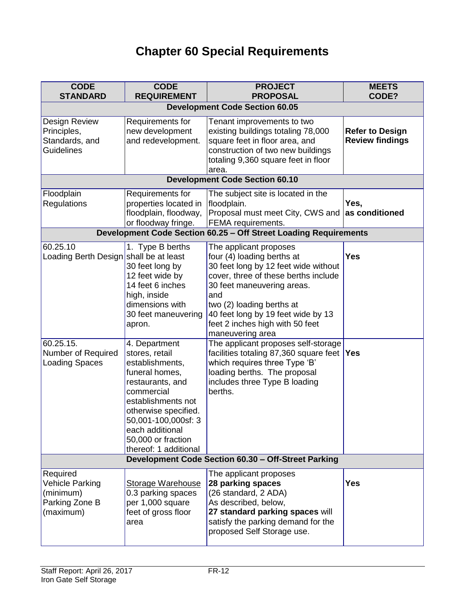# **Chapter 60 Special Requirements**

| <b>CODE</b><br><b>STANDARD</b>                                          | <b>CODE</b><br><b>REQUIREMENT</b>                                                                                                                                                                                                             | <b>PROJECT</b><br><b>PROPOSAL</b>                                                                                                                                                                                                                                               | <b>MEETS</b><br>CODE?                            |
|-------------------------------------------------------------------------|-----------------------------------------------------------------------------------------------------------------------------------------------------------------------------------------------------------------------------------------------|---------------------------------------------------------------------------------------------------------------------------------------------------------------------------------------------------------------------------------------------------------------------------------|--------------------------------------------------|
|                                                                         |                                                                                                                                                                                                                                               | <b>Development Code Section 60.05</b>                                                                                                                                                                                                                                           |                                                  |
| Design Review<br>Principles,<br>Standards, and<br><b>Guidelines</b>     | Requirements for<br>new development<br>and redevelopment.                                                                                                                                                                                     | Tenant improvements to two<br>existing buildings totaling 78,000<br>square feet in floor area, and<br>construction of two new buildings<br>totaling 9,360 square feet in floor<br>area.                                                                                         | <b>Refer to Design</b><br><b>Review findings</b> |
|                                                                         |                                                                                                                                                                                                                                               | <b>Development Code Section 60.10</b>                                                                                                                                                                                                                                           |                                                  |
| Floodplain<br>Regulations                                               | Requirements for<br>properties located in<br>floodplain, floodway,<br>or floodway fringe.                                                                                                                                                     | The subject site is located in the<br>floodplain.<br>Proposal must meet City, CWS and<br>FEMA requirements.                                                                                                                                                                     | Yes,<br>as conditioned                           |
|                                                                         |                                                                                                                                                                                                                                               | Development Code Section 60.25 - Off Street Loading Requirements                                                                                                                                                                                                                |                                                  |
| 60.25.10<br>Loading Berth Design shall be at least                      | 1. Type B berths<br>30 feet long by<br>12 feet wide by<br>14 feet 6 inches<br>high, inside<br>dimensions with<br>30 feet maneuvering<br>apron.                                                                                                | The applicant proposes<br>four (4) loading berths at<br>30 feet long by 12 feet wide without<br>cover, three of these berths include<br>30 feet maneuvering areas.<br>and<br>two (2) loading berths at<br>40 feet long by 19 feet wide by 13<br>feet 2 inches high with 50 feet | <b>Yes</b>                                       |
| 60.25.15.<br>Number of Required<br><b>Loading Spaces</b>                | 4. Department<br>stores, retail<br>establishments,<br>funeral homes,<br>restaurants, and<br>commercial<br>establishments not<br>otherwise specified.<br>50,001-100,000sf: 3<br>each additional<br>50,000 or fraction<br>thereof: 1 additional | maneuvering area<br>The applicant proposes self-storage<br>facilities totaling 87,360 square feet<br>which requires three Type 'B'<br>loading berths. The proposal<br>includes three Type B loading<br>berths.                                                                  | <b>Yes</b>                                       |
|                                                                         |                                                                                                                                                                                                                                               | Development Code Section 60.30 - Off-Street Parking                                                                                                                                                                                                                             |                                                  |
| Required<br>Vehicle Parking<br>(minimum)<br>Parking Zone B<br>(maximum) | <b>Storage Warehouse</b><br>0.3 parking spaces<br>per 1,000 square<br>feet of gross floor<br>area                                                                                                                                             | The applicant proposes<br>28 parking spaces<br>(26 standard, 2 ADA)<br>As described, below,<br>27 standard parking spaces will<br>satisfy the parking demand for the<br>proposed Self Storage use.                                                                              | <b>Yes</b>                                       |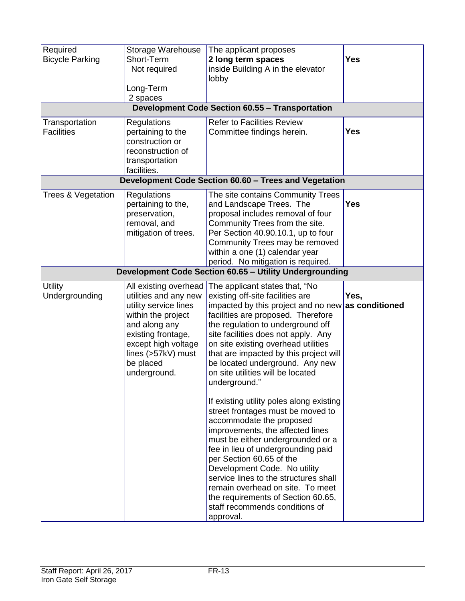| Required               | <b>Storage Warehouse</b> | The applicant proposes                                               |                |
|------------------------|--------------------------|----------------------------------------------------------------------|----------------|
| <b>Bicycle Parking</b> | Short-Term               | 2 long term spaces                                                   | <b>Yes</b>     |
|                        | Not required             | inside Building A in the elevator                                    |                |
|                        |                          | lobby                                                                |                |
|                        | Long-Term                |                                                                      |                |
|                        | 2 spaces                 |                                                                      |                |
|                        |                          | <b>Development Code Section 60.55 - Transportation</b>               |                |
| Transportation         | Regulations              | <b>Refer to Facilities Review</b>                                    |                |
| <b>Facilities</b>      | pertaining to the        | Committee findings herein.                                           | <b>Yes</b>     |
|                        | construction or          |                                                                      |                |
|                        | reconstruction of        |                                                                      |                |
|                        | transportation           |                                                                      |                |
|                        | facilities.              |                                                                      |                |
|                        |                          | Development Code Section 60.60 - Trees and Vegetation                |                |
| Trees & Vegetation     | Regulations              | The site contains Community Trees                                    |                |
|                        | pertaining to the,       | and Landscape Trees. The                                             | <b>Yes</b>     |
|                        | preservation,            | proposal includes removal of four                                    |                |
|                        | removal, and             | Community Trees from the site.                                       |                |
|                        | mitigation of trees.     | Per Section 40.90.10.1, up to four                                   |                |
|                        |                          | Community Trees may be removed                                       |                |
|                        |                          | within a one (1) calendar year                                       |                |
|                        |                          | period. No mitigation is required.                                   |                |
|                        |                          | Development Code Section 60.65 - Utility Undergrounding              |                |
| <b>Utility</b>         | All existing overhead    | The applicant states that, "No                                       |                |
| Undergrounding         | utilities and any new    | existing off-site facilities are                                     | Yes,           |
|                        | utility service lines    | impacted by this project and no new                                  | as conditioned |
|                        | within the project       | facilities are proposed. Therefore                                   |                |
|                        | and along any            | the regulation to underground off                                    |                |
|                        |                          |                                                                      |                |
|                        | existing frontage,       | site facilities does not apply. Any                                  |                |
|                        | except high voltage      | on site existing overhead utilities                                  |                |
|                        | lines (>57kV) must       | that are impacted by this project will                               |                |
|                        | be placed                | be located underground. Any new                                      |                |
|                        | underground.             | on site utilities will be located                                    |                |
|                        |                          | underground."                                                        |                |
|                        |                          |                                                                      |                |
|                        |                          | If existing utility poles along existing                             |                |
|                        |                          | street frontages must be moved to                                    |                |
|                        |                          | accommodate the proposed                                             |                |
|                        |                          | improvements, the affected lines                                     |                |
|                        |                          | must be either undergrounded or a                                    |                |
|                        |                          | fee in lieu of undergrounding paid<br>per Section 60.65 of the       |                |
|                        |                          | Development Code. No utility                                         |                |
|                        |                          | service lines to the structures shall                                |                |
|                        |                          | remain overhead on site. To meet                                     |                |
|                        |                          |                                                                      |                |
|                        |                          | the requirements of Section 60.65,<br>staff recommends conditions of |                |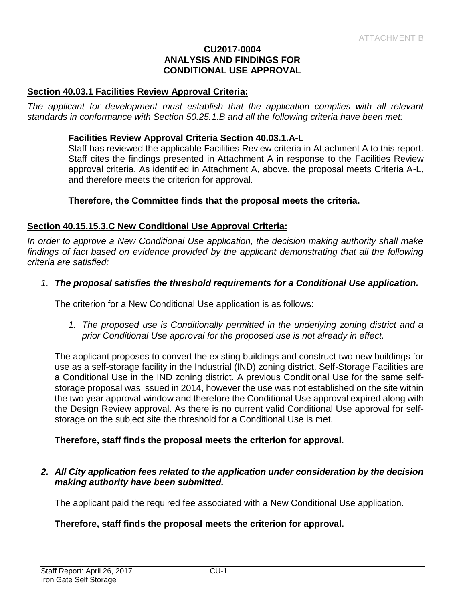#### **CU2017-0004 ANALYSIS AND FINDINGS FOR CONDITIONAL USE APPROVAL**

#### **Section 40.03.1 Facilities Review Approval Criteria:**

The applicant for development must establish that the application complies with all relevant *standards in conformance with Section 50.25.1.B and all the following criteria have been met:* 

#### **Facilities Review Approval Criteria Section 40.03.1.A-L**

Staff has reviewed the applicable Facilities Review criteria in Attachment A to this report. Staff cites the findings presented in Attachment A in response to the Facilities Review approval criteria. As identified in Attachment A, above, the proposal meets Criteria A-L, and therefore meets the criterion for approval.

#### **Therefore, the Committee finds that the proposal meets the criteria.**

#### **Section 40.15.15.3.C New Conditional Use Approval Criteria:**

*In order to approve a New Conditional Use application, the decision making authority shall make*  findings of fact based on evidence provided by the applicant demonstrating that all the following *criteria are satisfied:*

#### *1. The proposal satisfies the threshold requirements for a Conditional Use application.*

The criterion for a New Conditional Use application is as follows:

*1. The proposed use is Conditionally permitted in the underlying zoning district and a prior Conditional Use approval for the proposed use is not already in effect.*

The applicant proposes to convert the existing buildings and construct two new buildings for use as a self-storage facility in the Industrial (IND) zoning district. Self-Storage Facilities are a Conditional Use in the IND zoning district. A previous Conditional Use for the same selfstorage proposal was issued in 2014, however the use was not established on the site within the two year approval window and therefore the Conditional Use approval expired along with the Design Review approval. As there is no current valid Conditional Use approval for selfstorage on the subject site the threshold for a Conditional Use is met.

#### **Therefore, staff finds the proposal meets the criterion for approval.**

#### *2. All City application fees related to the application under consideration by the decision making authority have been submitted.*

The applicant paid the required fee associated with a New Conditional Use application.

#### **Therefore, staff finds the proposal meets the criterion for approval.**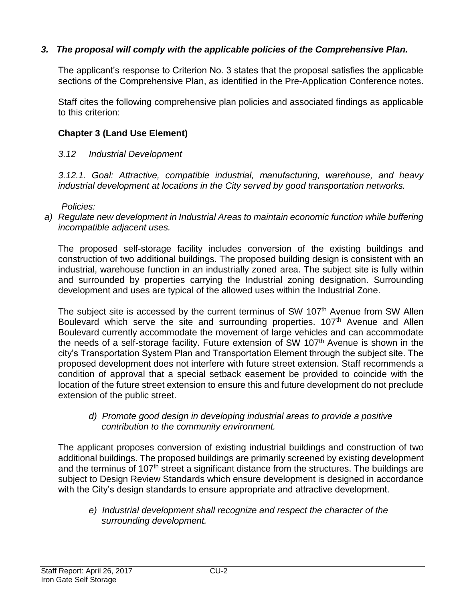# *3. The proposal will comply with the applicable policies of the Comprehensive Plan.*

The applicant's response to Criterion No. 3 states that the proposal satisfies the applicable sections of the Comprehensive Plan, as identified in the Pre-Application Conference notes.

Staff cites the following comprehensive plan policies and associated findings as applicable to this criterion:

# **Chapter 3 (Land Use Element)**

# *3.12 Industrial Development*

*3.12.1. Goal: Attractive, compatible industrial, manufacturing, warehouse, and heavy industrial development at locations in the City served by good transportation networks.*

*Policies:* 

*a) Regulate new development in Industrial Areas to maintain economic function while buffering incompatible adjacent uses.*

The proposed self-storage facility includes conversion of the existing buildings and construction of two additional buildings. The proposed building design is consistent with an industrial, warehouse function in an industrially zoned area. The subject site is fully within and surrounded by properties carrying the Industrial zoning designation. Surrounding development and uses are typical of the allowed uses within the Industrial Zone.

The subject site is accessed by the current terminus of SW 107<sup>th</sup> Avenue from SW Allen Boulevard which serve the site and surrounding properties. 107<sup>th</sup> Avenue and Allen Boulevard currently accommodate the movement of large vehicles and can accommodate the needs of a self-storage facility. Future extension of SW 107<sup>th</sup> Avenue is shown in the city's Transportation System Plan and Transportation Element through the subject site. The proposed development does not interfere with future street extension. Staff recommends a condition of approval that a special setback easement be provided to coincide with the location of the future street extension to ensure this and future development do not preclude extension of the public street.

*d) Promote good design in developing industrial areas to provide a positive contribution to the community environment.*

The applicant proposes conversion of existing industrial buildings and construction of two additional buildings. The proposed buildings are primarily screened by existing development and the terminus of 107<sup>th</sup> street a significant distance from the structures. The buildings are subject to Design Review Standards which ensure development is designed in accordance with the City's design standards to ensure appropriate and attractive development.

*e) Industrial development shall recognize and respect the character of the surrounding development.*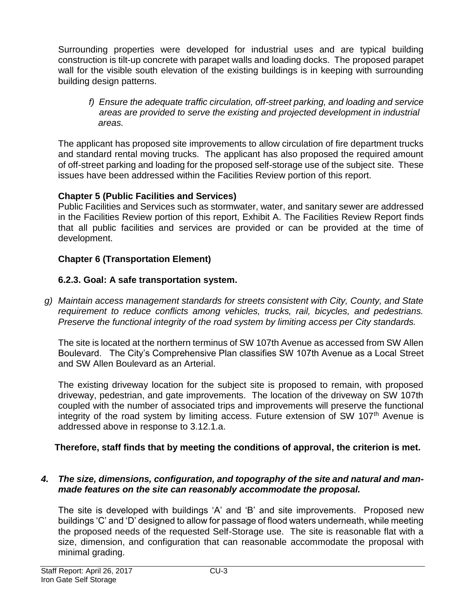Surrounding properties were developed for industrial uses and are typical building construction is tilt-up concrete with parapet walls and loading docks. The proposed parapet wall for the visible south elevation of the existing buildings is in keeping with surrounding building design patterns.

*f) Ensure the adequate traffic circulation, off-street parking, and loading and service areas are provided to serve the existing and projected development in industrial areas.*

The applicant has proposed site improvements to allow circulation of fire department trucks and standard rental moving trucks. The applicant has also proposed the required amount of off-street parking and loading for the proposed self-storage use of the subject site. These issues have been addressed within the Facilities Review portion of this report.

# **Chapter 5 (Public Facilities and Services)**

Public Facilities and Services such as stormwater, water, and sanitary sewer are addressed in the Facilities Review portion of this report, Exhibit A. The Facilities Review Report finds that all public facilities and services are provided or can be provided at the time of development.

# **Chapter 6 (Transportation Element)**

# **6.2.3. Goal: A safe transportation system.**

*g) Maintain access management standards for streets consistent with City, County, and State requirement to reduce conflicts among vehicles, trucks, rail, bicycles, and pedestrians. Preserve the functional integrity of the road system by limiting access per City standards.* 

The site is located at the northern terminus of SW 107th Avenue as accessed from SW Allen Boulevard. The City's Comprehensive Plan classifies SW 107th Avenue as a Local Street and SW Allen Boulevard as an Arterial.

The existing driveway location for the subject site is proposed to remain, with proposed driveway, pedestrian, and gate improvements. The location of the driveway on SW 107th coupled with the number of associated trips and improvements will preserve the functional integrity of the road system by limiting access. Future extension of SW 107<sup>th</sup> Avenue is addressed above in response to 3.12.1.a.

# **Therefore, staff finds that by meeting the conditions of approval, the criterion is met.**

# *4. The size, dimensions, configuration, and topography of the site and natural and manmade features on the site can reasonably accommodate the proposal.*

The site is developed with buildings 'A' and 'B' and site improvements. Proposed new buildings 'C' and 'D' designed to allow for passage of flood waters underneath, while meeting the proposed needs of the requested Self-Storage use. The site is reasonable flat with a size, dimension, and configuration that can reasonable accommodate the proposal with minimal grading.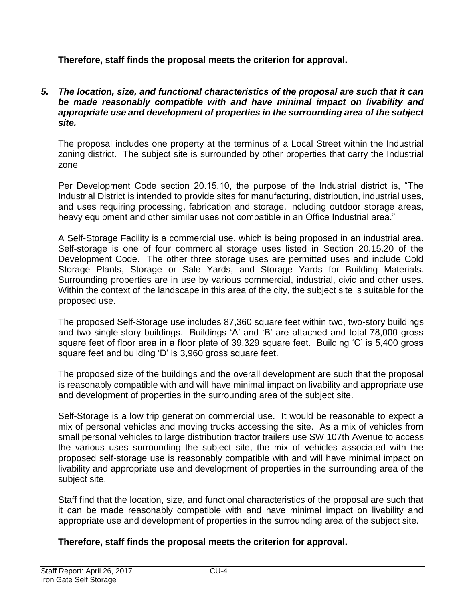# **Therefore, staff finds the proposal meets the criterion for approval.**

### *5. The location, size, and functional characteristics of the proposal are such that it can be made reasonably compatible with and have minimal impact on livability and appropriate use and development of properties in the surrounding area of the subject site.*

The proposal includes one property at the terminus of a Local Street within the Industrial zoning district. The subject site is surrounded by other properties that carry the Industrial zone

Per Development Code section 20.15.10, the purpose of the Industrial district is, "The Industrial District is intended to provide sites for manufacturing, distribution, industrial uses, and uses requiring processing, fabrication and storage, including outdoor storage areas, heavy equipment and other similar uses not compatible in an Office Industrial area."

A Self-Storage Facility is a commercial use, which is being proposed in an industrial area. Self-storage is one of four commercial storage uses listed in Section 20.15.20 of the Development Code. The other three storage uses are permitted uses and include Cold Storage Plants, Storage or Sale Yards, and Storage Yards for Building Materials. Surrounding properties are in use by various commercial, industrial, civic and other uses. Within the context of the landscape in this area of the city, the subject site is suitable for the proposed use.

The proposed Self-Storage use includes 87,360 square feet within two, two-story buildings and two single-story buildings. Buildings 'A' and 'B' are attached and total 78,000 gross square feet of floor area in a floor plate of 39,329 square feet. Building 'C' is 5,400 gross square feet and building 'D' is 3,960 gross square feet.

The proposed size of the buildings and the overall development are such that the proposal is reasonably compatible with and will have minimal impact on livability and appropriate use and development of properties in the surrounding area of the subject site.

Self-Storage is a low trip generation commercial use. It would be reasonable to expect a mix of personal vehicles and moving trucks accessing the site. As a mix of vehicles from small personal vehicles to large distribution tractor trailers use SW 107th Avenue to access the various uses surrounding the subject site, the mix of vehicles associated with the proposed self-storage use is reasonably compatible with and will have minimal impact on livability and appropriate use and development of properties in the surrounding area of the subject site.

Staff find that the location, size, and functional characteristics of the proposal are such that it can be made reasonably compatible with and have minimal impact on livability and appropriate use and development of properties in the surrounding area of the subject site.

# **Therefore, staff finds the proposal meets the criterion for approval.**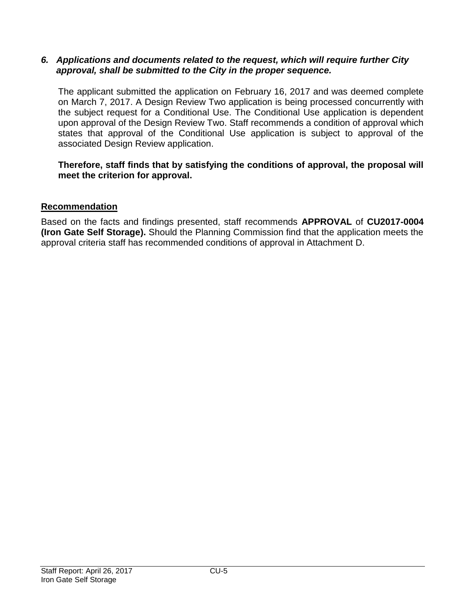### *6. Applications and documents related to the request, which will require further City approval, shall be submitted to the City in the proper sequence.*

The applicant submitted the application on February 16, 2017 and was deemed complete on March 7, 2017. A Design Review Two application is being processed concurrently with the subject request for a Conditional Use. The Conditional Use application is dependent upon approval of the Design Review Two. Staff recommends a condition of approval which states that approval of the Conditional Use application is subject to approval of the associated Design Review application.

# **Therefore, staff finds that by satisfying the conditions of approval, the proposal will meet the criterion for approval.**

# **Recommendation**

Based on the facts and findings presented, staff recommends **APPROVAL** of **CU2017-0004 (Iron Gate Self Storage).** Should the Planning Commission find that the application meets the approval criteria staff has recommended conditions of approval in Attachment D.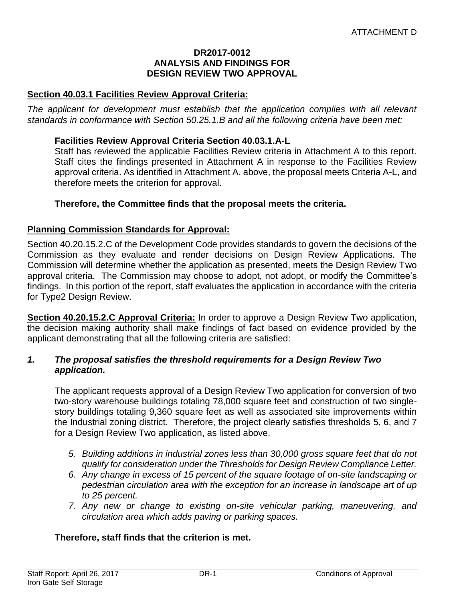#### **DR2017-0012 ANALYSIS AND FINDINGS FOR DESIGN REVIEW TWO APPROVAL**

#### **Section 40.03.1 Facilities Review Approval Criteria:**

The applicant for development must establish that the application complies with all relevant *standards in conformance with Section 50.25.1.B and all the following criteria have been met:* 

#### **Facilities Review Approval Criteria Section 40.03.1.A-L**

Staff has reviewed the applicable Facilities Review criteria in Attachment A to this report. Staff cites the findings presented in Attachment A in response to the Facilities Review approval criteria. As identified in Attachment A, above, the proposal meets Criteria A-L, and therefore meets the criterion for approval.

### **Therefore, the Committee finds that the proposal meets the criteria.**

#### **Planning Commission Standards for Approval:**

Section 40.20.15.2.C of the Development Code provides standards to govern the decisions of the Commission as they evaluate and render decisions on Design Review Applications. The Commission will determine whether the application as presented, meets the Design Review Two approval criteria. The Commission may choose to adopt, not adopt, or modify the Committee's findings. In this portion of the report, staff evaluates the application in accordance with the criteria for Type2 Design Review.

**Section 40.20.15.2.C Approval Criteria:** In order to approve a Design Review Two application, the decision making authority shall make findings of fact based on evidence provided by the applicant demonstrating that all the following criteria are satisfied:

#### *1. The proposal satisfies the threshold requirements for a Design Review Two application.*

The applicant requests approval of a Design Review Two application for conversion of two two-story warehouse buildings totaling 78,000 square feet and construction of two singlestory buildings totaling 9,360 square feet as well as associated site improvements within the Industrial zoning district. Therefore, the project clearly satisfies thresholds 5, 6, and 7 for a Design Review Two application, as listed above.

- *5. Building additions in industrial zones less than 30,000 gross square feet that do not qualify for consideration under the Thresholds for Design Review Compliance Letter.*
- *6. Any change in excess of 15 percent of the square footage of on-site landscaping or pedestrian circulation area with the exception for an increase in landscape art of up to 25 percent.*
- *7. Any new or change to existing on-site vehicular parking, maneuvering, and circulation area which adds paving or parking spaces.*

#### **Therefore, staff finds that the criterion is met.**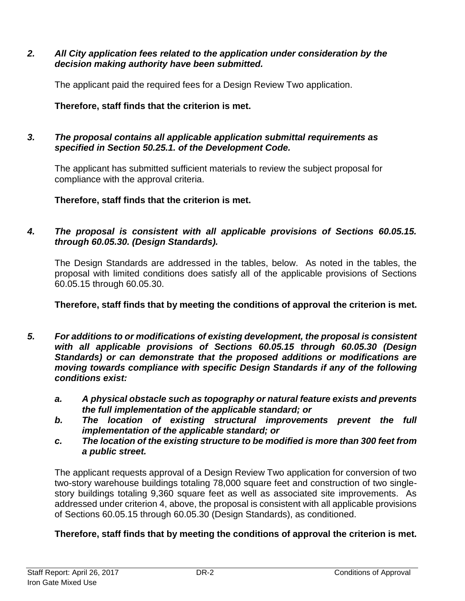### *2. All City application fees related to the application under consideration by the decision making authority have been submitted.*

The applicant paid the required fees for a Design Review Two application.

# **Therefore, staff finds that the criterion is met.**

# *3. The proposal contains all applicable application submittal requirements as specified in Section 50.25.1. of the Development Code.*

The applicant has submitted sufficient materials to review the subject proposal for compliance with the approval criteria.

**Therefore, staff finds that the criterion is met.**

# *4. The proposal is consistent with all applicable provisions of Sections 60.05.15. through 60.05.30. (Design Standards).*

The Design Standards are addressed in the tables, below. As noted in the tables, the proposal with limited conditions does satisfy all of the applicable provisions of Sections 60.05.15 through 60.05.30.

# **Therefore, staff finds that by meeting the conditions of approval the criterion is met.**

- *5. For additions to or modifications of existing development, the proposal is consistent with all applicable provisions of Sections 60.05.15 through 60.05.30 (Design Standards) or can demonstrate that the proposed additions or modifications are moving towards compliance with specific Design Standards if any of the following conditions exist:*
	- *a. A physical obstacle such as topography or natural feature exists and prevents the full implementation of the applicable standard; or*
	- *b. The location of existing structural improvements prevent the full implementation of the applicable standard; or*
	- *c. The location of the existing structure to be modified is more than 300 feet from a public street.*

The applicant requests approval of a Design Review Two application for conversion of two two-story warehouse buildings totaling 78,000 square feet and construction of two singlestory buildings totaling 9,360 square feet as well as associated site improvements. As addressed under criterion 4, above, the proposal is consistent with all applicable provisions of Sections 60.05.15 through 60.05.30 (Design Standards), as conditioned.

# **Therefore, staff finds that by meeting the conditions of approval the criterion is met.**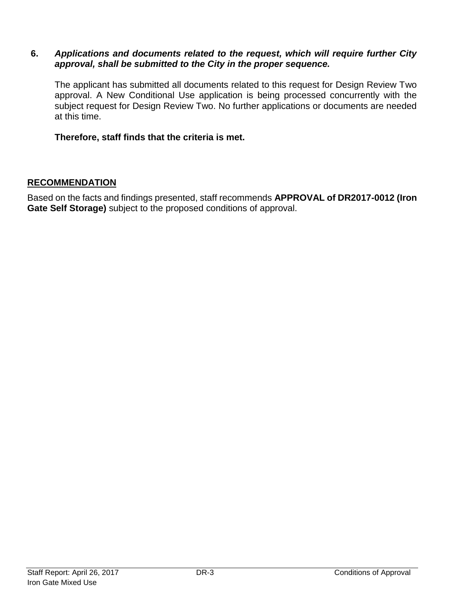### **6.** *Applications and documents related to the request, which will require further City approval, shall be submitted to the City in the proper sequence.*

The applicant has submitted all documents related to this request for Design Review Two approval. A New Conditional Use application is being processed concurrently with the subject request for Design Review Two. No further applications or documents are needed at this time.

**Therefore, staff finds that the criteria is met.**

### **RECOMMENDATION**

Based on the facts and findings presented, staff recommends **APPROVAL of DR2017-0012 (Iron Gate Self Storage)** subject to the proposed conditions of approval.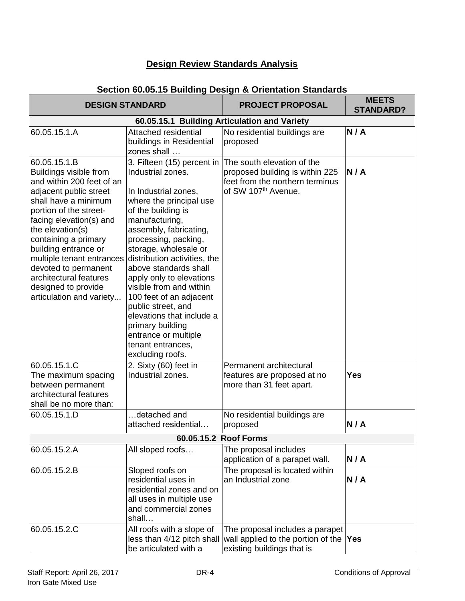# **Design Review Standards Analysis**

# **Section 60.05.15 Building Design & Orientation Standards**

|                                                                                                                                                                                                                                                                                                                                                                                  | <b>DESIGN STANDARD</b>                                                                                                                                                                                                                                                                                                                                                                                                                                                     | <b>PROJECT PROPOSAL</b>                                                                                                                                        | <b>MEETS</b><br><b>STANDARD?</b> |
|----------------------------------------------------------------------------------------------------------------------------------------------------------------------------------------------------------------------------------------------------------------------------------------------------------------------------------------------------------------------------------|----------------------------------------------------------------------------------------------------------------------------------------------------------------------------------------------------------------------------------------------------------------------------------------------------------------------------------------------------------------------------------------------------------------------------------------------------------------------------|----------------------------------------------------------------------------------------------------------------------------------------------------------------|----------------------------------|
|                                                                                                                                                                                                                                                                                                                                                                                  |                                                                                                                                                                                                                                                                                                                                                                                                                                                                            | 60.05.15.1 Building Articulation and Variety                                                                                                                   |                                  |
| 60.05.15.1.A                                                                                                                                                                                                                                                                                                                                                                     | Attached residential<br>buildings in Residential<br>zones shall                                                                                                                                                                                                                                                                                                                                                                                                            | No residential buildings are<br>proposed                                                                                                                       | N/A                              |
| 60.05.15.1.B<br>Buildings visible from<br>and within 200 feet of an<br>adjacent public street<br>shall have a minimum<br>portion of the street-<br>facing elevation(s) and<br>the elevation(s)<br>containing a primary<br>building entrance or<br>multiple tenant entrances<br>devoted to permanent<br>architectural features<br>designed to provide<br>articulation and variety | Industrial zones.<br>In Industrial zones,<br>where the principal use<br>of the building is<br>manufacturing,<br>assembly, fabricating,<br>processing, packing,<br>storage, wholesale or<br>distribution activities, the<br>above standards shall<br>apply only to elevations<br>visible from and within<br>100 feet of an adjacent<br>public street, and<br>elevations that include a<br>primary building<br>entrance or multiple<br>tenant entrances,<br>excluding roofs. | 3. Fifteen (15) percent in The south elevation of the<br>proposed building is within 225<br>feet from the northern terminus<br>of SW 107 <sup>th</sup> Avenue. | N/A                              |
| 60.05.15.1.C<br>The maximum spacing<br>between permanent<br>architectural features<br>shall be no more than:                                                                                                                                                                                                                                                                     | 2. Sixty (60) feet in<br>Industrial zones.                                                                                                                                                                                                                                                                                                                                                                                                                                 | Permanent architectural<br>features are proposed at no<br>more than 31 feet apart.                                                                             | <b>Yes</b>                       |
| 60.05.15.1.D                                                                                                                                                                                                                                                                                                                                                                     | detached and<br>attached residential                                                                                                                                                                                                                                                                                                                                                                                                                                       | No residential buildings are<br>proposed                                                                                                                       | N/A                              |
|                                                                                                                                                                                                                                                                                                                                                                                  |                                                                                                                                                                                                                                                                                                                                                                                                                                                                            | 60.05.15.2 Roof Forms                                                                                                                                          |                                  |
| 60.05.15.2.A                                                                                                                                                                                                                                                                                                                                                                     | All sloped roofs                                                                                                                                                                                                                                                                                                                                                                                                                                                           | The proposal includes<br>application of a parapet wall.                                                                                                        | N/A                              |
| 60.05.15.2.B                                                                                                                                                                                                                                                                                                                                                                     | Sloped roofs on<br>residential uses in<br>residential zones and on<br>all uses in multiple use<br>and commercial zones<br>shall                                                                                                                                                                                                                                                                                                                                            | The proposal is located within<br>an Industrial zone                                                                                                           | N/A                              |
| 60.05.15.2.C                                                                                                                                                                                                                                                                                                                                                                     | All roofs with a slope of<br>less than 4/12 pitch shall<br>be articulated with a                                                                                                                                                                                                                                                                                                                                                                                           | The proposal includes a parapet<br>wall applied to the portion of the<br>existing buildings that is                                                            | <b>Yes</b>                       |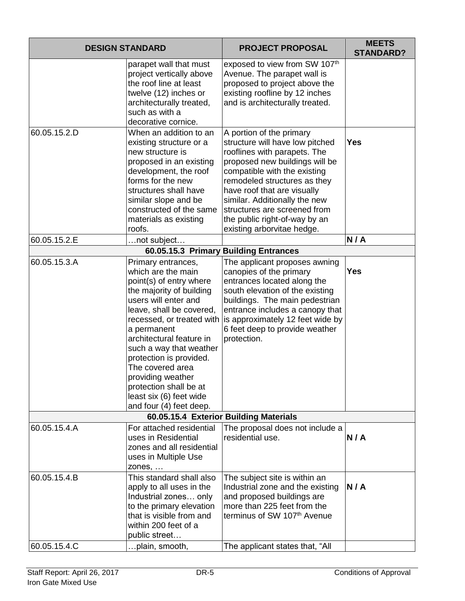| <b>DESIGN STANDARD</b>       |                                                                                                                                                                                                                                                                                                                                                                                                            | <b>PROJECT PROPOSAL</b>                                                                                                                                                                                                                                                                                                                                      | <b>MEETS</b><br><b>STANDARD?</b> |
|------------------------------|------------------------------------------------------------------------------------------------------------------------------------------------------------------------------------------------------------------------------------------------------------------------------------------------------------------------------------------------------------------------------------------------------------|--------------------------------------------------------------------------------------------------------------------------------------------------------------------------------------------------------------------------------------------------------------------------------------------------------------------------------------------------------------|----------------------------------|
|                              | parapet wall that must<br>project vertically above<br>the roof line at least<br>twelve (12) inches or<br>architecturally treated,<br>such as with a<br>decorative cornice.                                                                                                                                                                                                                                 | exposed to view from SW 107th<br>Avenue. The parapet wall is<br>proposed to project above the<br>existing roofline by 12 inches<br>and is architecturally treated.                                                                                                                                                                                           |                                  |
| 60.05.15.2.D                 | When an addition to an<br>existing structure or a<br>new structure is<br>proposed in an existing<br>development, the roof<br>forms for the new<br>structures shall have<br>similar slope and be<br>constructed of the same<br>materials as existing<br>roofs.                                                                                                                                              | A portion of the primary<br>structure will have low pitched<br>rooflines with parapets. The<br>proposed new buildings will be<br>compatible with the existing<br>remodeled structures as they<br>have roof that are visually<br>similar. Additionally the new<br>structures are screened from<br>the public right-of-way by an<br>existing arborvitae hedge. | <b>Yes</b>                       |
| 60.05.15.2.E                 | not subject                                                                                                                                                                                                                                                                                                                                                                                                |                                                                                                                                                                                                                                                                                                                                                              | N/A                              |
|                              |                                                                                                                                                                                                                                                                                                                                                                                                            | 60.05.15.3 Primary Building Entrances                                                                                                                                                                                                                                                                                                                        |                                  |
| 60.05.15.3.A                 | Primary entrances,<br>which are the main<br>point(s) of entry where<br>the majority of building<br>users will enter and<br>leave, shall be covered,<br>recessed, or treated with<br>a permanent<br>architectural feature in<br>such a way that weather<br>protection is provided.<br>The covered area<br>providing weather<br>protection shall be at<br>least six (6) feet wide<br>and four (4) feet deep. | The applicant proposes awning<br>canopies of the primary<br>entrances located along the<br>south elevation of the existing<br>buildings. The main pedestrian<br>entrance includes a canopy that<br>is approximately 12 feet wide by<br>6 feet deep to provide weather<br>protection.                                                                         | <b>Yes</b>                       |
|                              |                                                                                                                                                                                                                                                                                                                                                                                                            | 60.05.15.4 Exterior Building Materials                                                                                                                                                                                                                                                                                                                       |                                  |
| 60.05.15.4.A                 | For attached residential<br>uses in Residential<br>zones and all residential<br>uses in Multiple Use<br>zones,                                                                                                                                                                                                                                                                                             | The proposal does not include a<br>residential use.                                                                                                                                                                                                                                                                                                          | N/A                              |
| 60.05.15.4.B<br>60.05.15.4.C | This standard shall also<br>apply to all uses in the<br>Industrial zones only<br>to the primary elevation<br>that is visible from and<br>within 200 feet of a<br>public street<br>plain, smooth,                                                                                                                                                                                                           | The subject site is within an<br>Industrial zone and the existing<br>and proposed buildings are<br>more than 225 feet from the<br>terminus of SW 107th Avenue<br>The applicant states that, "All                                                                                                                                                             | N/A                              |
|                              |                                                                                                                                                                                                                                                                                                                                                                                                            |                                                                                                                                                                                                                                                                                                                                                              |                                  |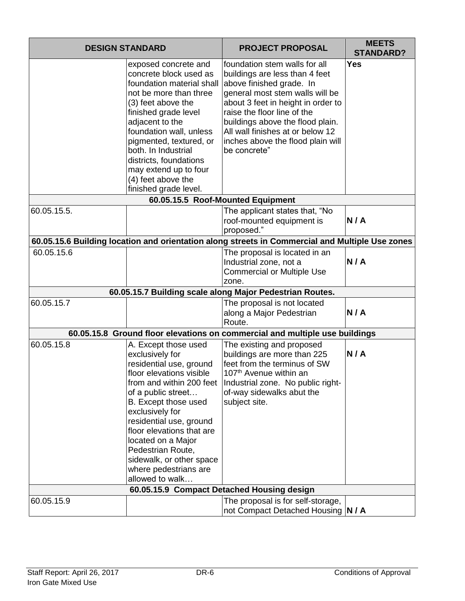| <b>DESIGN STANDARD</b> |                                                                                                                                                                                                                                                                                                                                                                        | <b>PROJECT PROPOSAL</b>                                                                                                                                                                                                                                                                                                          | <b>MEETS</b><br><b>STANDARD?</b> |
|------------------------|------------------------------------------------------------------------------------------------------------------------------------------------------------------------------------------------------------------------------------------------------------------------------------------------------------------------------------------------------------------------|----------------------------------------------------------------------------------------------------------------------------------------------------------------------------------------------------------------------------------------------------------------------------------------------------------------------------------|----------------------------------|
|                        | exposed concrete and<br>concrete block used as<br>foundation material shall<br>not be more than three<br>(3) feet above the<br>finished grade level<br>adjacent to the<br>foundation wall, unless<br>pigmented, textured, or<br>both. In Industrial<br>districts, foundations<br>may extend up to four<br>(4) feet above the<br>finished grade level.                  | foundation stem walls for all<br>buildings are less than 4 feet<br>above finished grade. In<br>general most stem walls will be<br>about 3 feet in height in order to<br>raise the floor line of the<br>buildings above the flood plain.<br>All wall finishes at or below 12<br>inches above the flood plain will<br>be concrete" | <b>Yes</b>                       |
|                        |                                                                                                                                                                                                                                                                                                                                                                        | 60.05.15.5 Roof-Mounted Equipment                                                                                                                                                                                                                                                                                                |                                  |
| 60.05.15.5.            |                                                                                                                                                                                                                                                                                                                                                                        | The applicant states that, "No<br>roof-mounted equipment is<br>proposed."                                                                                                                                                                                                                                                        | N/A                              |
|                        |                                                                                                                                                                                                                                                                                                                                                                        | 60.05.15.6 Building location and orientation along streets in Commercial and Multiple Use zones                                                                                                                                                                                                                                  |                                  |
| 60.05.15.6             |                                                                                                                                                                                                                                                                                                                                                                        | The proposal is located in an<br>Industrial zone, not a<br><b>Commercial or Multiple Use</b><br>zone.                                                                                                                                                                                                                            | N/A                              |
|                        |                                                                                                                                                                                                                                                                                                                                                                        | 60.05.15.7 Building scale along Major Pedestrian Routes.                                                                                                                                                                                                                                                                         |                                  |
| 60.05.15.7             |                                                                                                                                                                                                                                                                                                                                                                        | The proposal is not located<br>along a Major Pedestrian<br>Route.                                                                                                                                                                                                                                                                | N/A                              |
|                        |                                                                                                                                                                                                                                                                                                                                                                        | 60.05.15.8 Ground floor elevations on commercial and multiple use buildings                                                                                                                                                                                                                                                      |                                  |
| 60.05.15.8             | A. Except those used<br>exclusively for<br>residential use, ground<br>floor elevations visible<br>from and within 200 feet<br>of a public street<br>B. Except those used<br>exclusively for<br>residential use, ground<br>floor elevations that are<br>located on a Major<br>Pedestrian Route,<br>sidewalk, or other space<br>where pedestrians are<br>allowed to walk | The existing and proposed<br>buildings are more than 225<br>feet from the terminus of SW<br>107 <sup>th</sup> Avenue within an<br>Industrial zone. No public right-<br>of-way sidewalks abut the<br>subject site.<br>60.05.15.9 Compact Detached Housing design                                                                  | N/A                              |
| 60.05.15.9             |                                                                                                                                                                                                                                                                                                                                                                        | The proposal is for self-storage,                                                                                                                                                                                                                                                                                                |                                  |
|                        |                                                                                                                                                                                                                                                                                                                                                                        | not Compact Detached Housing  N / A                                                                                                                                                                                                                                                                                              |                                  |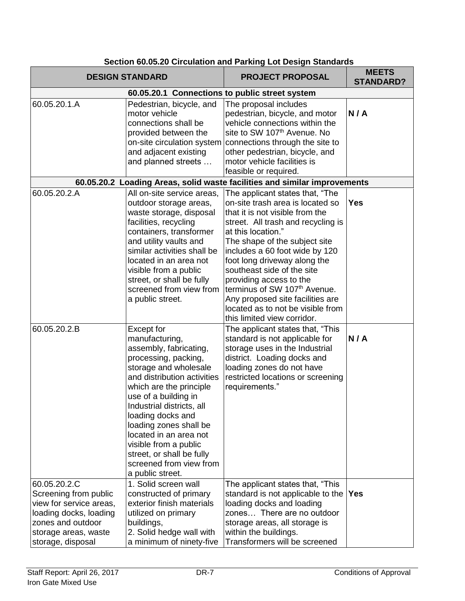|                                                                                                                                                              | <b>DESIGN STANDARD</b>                                                                                                                                                                                                                                                                                                                                                                               | <b>PROJECT PROPOSAL</b>                                                                                                                                                                                                                                                                                                                                                                                                                                                | <b>MEETS</b><br><b>STANDARD?</b> |
|--------------------------------------------------------------------------------------------------------------------------------------------------------------|------------------------------------------------------------------------------------------------------------------------------------------------------------------------------------------------------------------------------------------------------------------------------------------------------------------------------------------------------------------------------------------------------|------------------------------------------------------------------------------------------------------------------------------------------------------------------------------------------------------------------------------------------------------------------------------------------------------------------------------------------------------------------------------------------------------------------------------------------------------------------------|----------------------------------|
|                                                                                                                                                              | 60.05.20.1 Connections to public street system                                                                                                                                                                                                                                                                                                                                                       |                                                                                                                                                                                                                                                                                                                                                                                                                                                                        |                                  |
| 60.05.20.1.A                                                                                                                                                 | Pedestrian, bicycle, and<br>motor vehicle<br>connections shall be<br>provided between the<br>and adjacent existing<br>and planned streets                                                                                                                                                                                                                                                            | The proposal includes<br>pedestrian, bicycle, and motor<br>vehicle connections within the<br>site to SW 107th Avenue. No<br>on-site circulation system connections through the site to<br>other pedestrian, bicycle, and<br>motor vehicle facilities is<br>feasible or required.                                                                                                                                                                                       | N/A                              |
|                                                                                                                                                              |                                                                                                                                                                                                                                                                                                                                                                                                      | 60.05.20.2 Loading Areas, solid waste facilities and similar improvements                                                                                                                                                                                                                                                                                                                                                                                              |                                  |
| 60.05.20.2.A                                                                                                                                                 | All on-site service areas,<br>outdoor storage areas,<br>waste storage, disposal<br>facilities, recycling<br>containers, transformer<br>and utility vaults and<br>similar activities shall be<br>located in an area not<br>visible from a public<br>street, or shall be fully<br>screened from view from<br>a public street.                                                                          | The applicant states that, "The<br>on-site trash area is located so<br>that it is not visible from the<br>street. All trash and recycling is<br>at this location."<br>The shape of the subject site<br>includes a 60 foot wide by 120<br>foot long driveway along the<br>southeast side of the site<br>providing access to the<br>terminus of SW 107th Avenue.<br>Any proposed site facilities are<br>located as to not be visible from<br>this limited view corridor. | <b>Yes</b>                       |
| 60.05.20.2.B                                                                                                                                                 | Except for<br>manufacturing,<br>assembly, fabricating,<br>processing, packing,<br>storage and wholesale<br>and distribution activities<br>which are the principle<br>use of a building in<br>Industrial districts, all<br>loading docks and<br>loading zones shall be<br>located in an area not<br>visible from a public<br>street, or shall be fully<br>screened from view from<br>a public street. | The applicant states that, "This<br>standard is not applicable for<br>storage uses in the Industrial<br>district. Loading docks and<br>loading zones do not have<br>restricted locations or screening<br>requirements."                                                                                                                                                                                                                                                | N/A                              |
| 60.05.20.2.C<br>Screening from public<br>view for service areas,<br>loading docks, loading<br>zones and outdoor<br>storage areas, waste<br>storage, disposal | 1. Solid screen wall<br>constructed of primary<br>exterior finish materials<br>utilized on primary<br>buildings,<br>2. Solid hedge wall with<br>a minimum of ninety-five                                                                                                                                                                                                                             | The applicant states that, "This<br>standard is not applicable to the<br>loading docks and loading<br>zones There are no outdoor<br>storage areas, all storage is<br>within the buildings.<br>Transformers will be screened                                                                                                                                                                                                                                            | <b>Yes</b>                       |

# **Section 60.05.20 Circulation and Parking Lot Design Standards**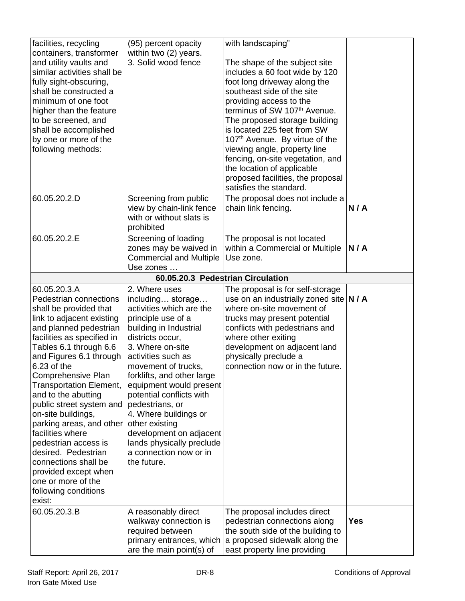| facilities, recycling<br>containers, transformer<br>and utility vaults and<br>similar activities shall be<br>fully sight-obscuring,<br>shall be constructed a<br>minimum of one foot<br>higher than the feature<br>to be screened, and<br>shall be accomplished<br>by one or more of the<br>following methods:                                                                                                                                                                                                                                                    | (95) percent opacity<br>within two (2) years.<br>3. Solid wood fence                                                                                                                                                                                                                                                                                                                                                                                    | with landscaping"<br>The shape of the subject site<br>includes a 60 foot wide by 120<br>foot long driveway along the<br>southeast side of the site<br>providing access to the<br>terminus of SW 107th Avenue.<br>The proposed storage building<br>is located 225 feet from SW<br>107th Avenue. By virtue of the<br>viewing angle, property line<br>fencing, on-site vegetation, and<br>the location of applicable<br>proposed facilities, the proposal<br>satisfies the standard. |            |
|-------------------------------------------------------------------------------------------------------------------------------------------------------------------------------------------------------------------------------------------------------------------------------------------------------------------------------------------------------------------------------------------------------------------------------------------------------------------------------------------------------------------------------------------------------------------|---------------------------------------------------------------------------------------------------------------------------------------------------------------------------------------------------------------------------------------------------------------------------------------------------------------------------------------------------------------------------------------------------------------------------------------------------------|-----------------------------------------------------------------------------------------------------------------------------------------------------------------------------------------------------------------------------------------------------------------------------------------------------------------------------------------------------------------------------------------------------------------------------------------------------------------------------------|------------|
| 60.05.20.2.D                                                                                                                                                                                                                                                                                                                                                                                                                                                                                                                                                      | Screening from public<br>view by chain-link fence<br>with or without slats is<br>prohibited                                                                                                                                                                                                                                                                                                                                                             | The proposal does not include a<br>chain link fencing.                                                                                                                                                                                                                                                                                                                                                                                                                            | N/A        |
| 60.05.20.2.E                                                                                                                                                                                                                                                                                                                                                                                                                                                                                                                                                      | Screening of loading<br>zones may be waived in<br><b>Commercial and Multiple</b><br>Use zones                                                                                                                                                                                                                                                                                                                                                           | The proposal is not located<br>within a Commercial or Multiple<br>Use zone.                                                                                                                                                                                                                                                                                                                                                                                                       | N/A        |
|                                                                                                                                                                                                                                                                                                                                                                                                                                                                                                                                                                   | 60.05.20.3 Pedestrian Circulation                                                                                                                                                                                                                                                                                                                                                                                                                       |                                                                                                                                                                                                                                                                                                                                                                                                                                                                                   |            |
| 60.05.20.3.A<br>Pedestrian connections<br>shall be provided that<br>link to adjacent existing<br>and planned pedestrian<br>facilities as specified in<br>Tables 6.1 through 6.6<br>and Figures 6.1 through<br>6.23 of the<br>Comprehensive Plan<br><b>Transportation Element,</b><br>and to the abutting<br>public street system and<br>on-site buildings,<br>parking areas, and other<br>facilities where<br>pedestrian access is<br>desired. Pedestrian<br>connections shall be<br>provided except when<br>one or more of the<br>following conditions<br>exist: | 2. Where uses<br>including storage<br>activities which are the<br>principle use of a<br>building in Industrial<br>districts occur,<br>3. Where on-site<br>activities such as<br>movement of trucks,<br>forklifts, and other large<br>equipment would present<br>potential conflicts with<br>pedestrians, or<br>4. Where buildings or<br>other existing<br>development on adjacent<br>lands physically preclude<br>a connection now or in<br>the future. | The proposal is for self-storage<br>use on an industrially zoned site $ N / A $<br>where on-site movement of<br>trucks may present potential<br>conflicts with pedestrians and<br>where other exiting<br>development on adjacent land<br>physically preclude a<br>connection now or in the future.                                                                                                                                                                                |            |
| 60.05.20.3.B                                                                                                                                                                                                                                                                                                                                                                                                                                                                                                                                                      | A reasonably direct<br>walkway connection is<br>required between<br>primary entrances, which<br>are the main point(s) of                                                                                                                                                                                                                                                                                                                                | The proposal includes direct<br>pedestrian connections along<br>the south side of the building to<br>a proposed sidewalk along the<br>east property line providing                                                                                                                                                                                                                                                                                                                | <b>Yes</b> |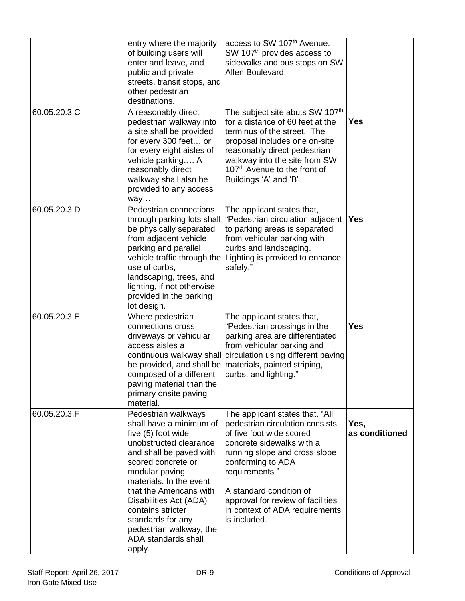| 60.05.20.3.C | entry where the majority<br>of building users will<br>enter and leave, and<br>public and private<br>streets, transit stops, and<br>other pedestrian<br>destinations.<br>A reasonably direct<br>pedestrian walkway into                                                                                                                                  | access to SW 107th Avenue.<br>SW 107 <sup>th</sup> provides access to<br>sidewalks and bus stops on SW<br>Allen Boulevard.<br>The subject site abuts SW 107th<br>for a distance of 60 feet at the                                                                                                                     | <b>Yes</b>             |
|--------------|---------------------------------------------------------------------------------------------------------------------------------------------------------------------------------------------------------------------------------------------------------------------------------------------------------------------------------------------------------|-----------------------------------------------------------------------------------------------------------------------------------------------------------------------------------------------------------------------------------------------------------------------------------------------------------------------|------------------------|
|              | a site shall be provided<br>for every 300 feet or<br>for every eight aisles of<br>vehicle parking A<br>reasonably direct<br>walkway shall also be<br>provided to any access<br>way                                                                                                                                                                      | terminus of the street. The<br>proposal includes one on-site<br>reasonably direct pedestrian<br>walkway into the site from SW<br>107 <sup>th</sup> Avenue to the front of<br>Buildings 'A' and 'B'.                                                                                                                   |                        |
| 60.05.20.3.D | Pedestrian connections<br>through parking lots shall<br>be physically separated<br>from adjacent vehicle<br>parking and parallel<br>use of curbs,<br>landscaping, trees, and<br>lighting, if not otherwise<br>provided in the parking<br>lot design.                                                                                                    | The applicant states that,<br>"Pedestrian circulation adjacent<br>to parking areas is separated<br>from vehicular parking with<br>curbs and landscaping.<br>vehicle traffic through the Lighting is provided to enhance<br>safety."                                                                                   | <b>Yes</b>             |
| 60.05.20.3.E | Where pedestrian<br>connections cross<br>driveways or vehicular<br>access aisles a<br>composed of a different<br>paving material than the<br>primary onsite paving<br>material.                                                                                                                                                                         | The applicant states that,<br>"Pedestrian crossings in the<br>parking area are differentiated<br>from vehicular parking and<br>continuous walkway shall circulation using different paving<br>be provided, and shall be materials, painted striping,<br>curbs, and lighting."                                         | <b>Yes</b>             |
| 60.05.20.3.F | Pedestrian walkways<br>shall have a minimum of<br>five (5) foot wide<br>unobstructed clearance<br>and shall be paved with<br>scored concrete or<br>modular paving<br>materials. In the event<br>that the Americans with<br>Disabilities Act (ADA)<br>contains stricter<br>standards for any<br>pedestrian walkway, the<br>ADA standards shall<br>apply. | The applicant states that, "All<br>pedestrian circulation consists<br>of five foot wide scored<br>concrete sidewalks with a<br>running slope and cross slope<br>conforming to ADA<br>requirements."<br>A standard condition of<br>approval for review of facilities<br>in context of ADA requirements<br>is included. | Yes,<br>as conditioned |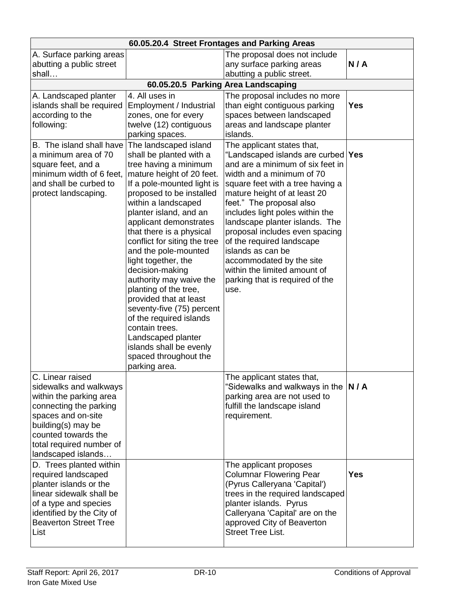| 60.05.20.4 Street Frontages and Parking Areas                                                                                                                                                                        |                                                                                                                                                                                                                                                                                                                                                                                                                                                                                                                                                                                                                              |                                                                                                                                                                                                                                                                                                                                                                                                                                                                                                     |            |  |
|----------------------------------------------------------------------------------------------------------------------------------------------------------------------------------------------------------------------|------------------------------------------------------------------------------------------------------------------------------------------------------------------------------------------------------------------------------------------------------------------------------------------------------------------------------------------------------------------------------------------------------------------------------------------------------------------------------------------------------------------------------------------------------------------------------------------------------------------------------|-----------------------------------------------------------------------------------------------------------------------------------------------------------------------------------------------------------------------------------------------------------------------------------------------------------------------------------------------------------------------------------------------------------------------------------------------------------------------------------------------------|------------|--|
| A. Surface parking areas<br>abutting a public street<br>shall                                                                                                                                                        |                                                                                                                                                                                                                                                                                                                                                                                                                                                                                                                                                                                                                              | The proposal does not include<br>any surface parking areas<br>abutting a public street.                                                                                                                                                                                                                                                                                                                                                                                                             | N/A        |  |
|                                                                                                                                                                                                                      | 60.05.20.5 Parking Area Landscaping                                                                                                                                                                                                                                                                                                                                                                                                                                                                                                                                                                                          |                                                                                                                                                                                                                                                                                                                                                                                                                                                                                                     |            |  |
| A. Landscaped planter<br>islands shall be required<br>according to the<br>following:                                                                                                                                 | 4. All uses in<br>Employment / Industrial<br>zones, one for every<br>twelve (12) contiguous<br>parking spaces.                                                                                                                                                                                                                                                                                                                                                                                                                                                                                                               | The proposal includes no more<br>than eight contiguous parking<br>spaces between landscaped<br>areas and landscape planter<br>islands.                                                                                                                                                                                                                                                                                                                                                              | <b>Yes</b> |  |
| B. The island shall have<br>a minimum area of 70<br>square feet, and a<br>minimum width of 6 feet,<br>and shall be curbed to<br>protect landscaping.                                                                 | The landscaped island<br>shall be planted with a<br>tree having a minimum<br>mature height of 20 feet.<br>If a pole-mounted light is<br>proposed to be installed<br>within a landscaped<br>planter island, and an<br>applicant demonstrates<br>that there is a physical<br>conflict for siting the tree<br>and the pole-mounted<br>light together, the<br>decision-making<br>authority may waive the<br>planting of the tree,<br>provided that at least<br>seventy-five (75) percent<br>of the required islands<br>contain trees.<br>Landscaped planter<br>islands shall be evenly<br>spaced throughout the<br>parking area. | The applicant states that,<br>"Landscaped islands are curbed   Yes<br>and are a minimum of six feet in<br>width and a minimum of 70<br>square feet with a tree having a<br>mature height of at least 20<br>feet." The proposal also<br>includes light poles within the<br>landscape planter islands. The<br>proposal includes even spacing<br>of the required landscape<br>islands as can be<br>accommodated by the site<br>within the limited amount of<br>parking that is required of the<br>use. |            |  |
| C. Linear raised<br>sidewalks and walkways<br>within the parking area<br>connecting the parking<br>spaces and on-site<br>building(s) may be<br>counted towards the<br>total required number of<br>landscaped islands |                                                                                                                                                                                                                                                                                                                                                                                                                                                                                                                                                                                                                              | The applicant states that,<br>"Sidewalks and walkways in the $ N / A $<br>parking area are not used to<br>fulfill the landscape island<br>requirement.                                                                                                                                                                                                                                                                                                                                              |            |  |
| D. Trees planted within<br>required landscaped<br>planter islands or the<br>linear sidewalk shall be<br>of a type and species<br>identified by the City of<br><b>Beaverton Street Tree</b><br>List                   |                                                                                                                                                                                                                                                                                                                                                                                                                                                                                                                                                                                                                              | The applicant proposes<br><b>Columnar Flowering Pear</b><br>(Pyrus Calleryana 'Capital')<br>trees in the required landscaped<br>planter islands. Pyrus<br>Calleryana 'Capital' are on the<br>approved City of Beaverton<br><b>Street Tree List.</b>                                                                                                                                                                                                                                                 | <b>Yes</b> |  |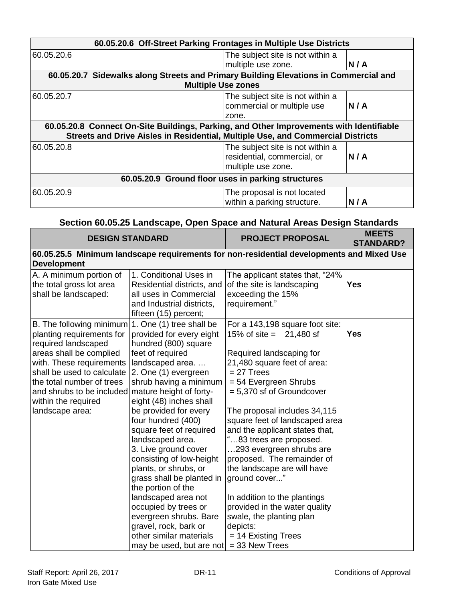| 60.05.20.6 Off-Street Parking Frontages in Multiple Use Districts |                           |                                                                                         |     |
|-------------------------------------------------------------------|---------------------------|-----------------------------------------------------------------------------------------|-----|
| 60.05.20.6                                                        |                           | The subject site is not within a                                                        |     |
|                                                                   |                           | multiple use zone.                                                                      | N/A |
|                                                                   |                           | 60.05.20.7 Sidewalks along Streets and Primary Building Elevations in Commercial and    |     |
|                                                                   | <b>Multiple Use zones</b> |                                                                                         |     |
| 60.05.20.7                                                        |                           | The subject site is not within a<br>commercial or multiple use                          | N/A |
|                                                                   |                           | zone.                                                                                   |     |
|                                                                   |                           | 60.05.20.8 Connect On-Site Buildings, Parking, and Other Improvements with Identifiable |     |
|                                                                   |                           | Streets and Drive Aisles in Residential, Multiple Use, and Commercial Districts         |     |
| 60.05.20.8                                                        |                           | The subject site is not within a<br>residential, commercial, or<br>multiple use zone.   | N/A |
| 60.05.20.9 Ground floor uses in parking structures                |                           |                                                                                         |     |
| 60.05.20.9                                                        |                           | The proposal is not located<br>within a parking structure.                              | N/A |

# **Section 60.05.25 Landscape, Open Space and Natural Areas Design Standards**

| <b>DESIGN STANDARD</b>                                                                                                                                                                                                                                                                        |                                                                                                                                                                                                                                                                                                                                                                                                                                                                                                                                                                                         | <b>PROJECT PROPOSAL</b>                                                                                                                                                                                                                                                                                                                                                                                                                                                                                                                                                                        | <b>MEETS</b><br><b>STANDARD?</b> |
|-----------------------------------------------------------------------------------------------------------------------------------------------------------------------------------------------------------------------------------------------------------------------------------------------|-----------------------------------------------------------------------------------------------------------------------------------------------------------------------------------------------------------------------------------------------------------------------------------------------------------------------------------------------------------------------------------------------------------------------------------------------------------------------------------------------------------------------------------------------------------------------------------------|------------------------------------------------------------------------------------------------------------------------------------------------------------------------------------------------------------------------------------------------------------------------------------------------------------------------------------------------------------------------------------------------------------------------------------------------------------------------------------------------------------------------------------------------------------------------------------------------|----------------------------------|
| 60.05.25.5 Minimum landscape requirements for non-residential developments and Mixed Use<br><b>Development</b>                                                                                                                                                                                |                                                                                                                                                                                                                                                                                                                                                                                                                                                                                                                                                                                         |                                                                                                                                                                                                                                                                                                                                                                                                                                                                                                                                                                                                |                                  |
| A. A minimum portion of<br>the total gross lot area<br>shall be landscaped:                                                                                                                                                                                                                   | 1. Conditional Uses in<br>Residential districts, and<br>all uses in Commercial<br>and Industrial districts,<br>fifteen (15) percent;                                                                                                                                                                                                                                                                                                                                                                                                                                                    | The applicant states that, "24%<br>of the site is landscaping<br>exceeding the 15%<br>requirement."                                                                                                                                                                                                                                                                                                                                                                                                                                                                                            | <b>Yes</b>                       |
| B. The following minimum<br>planting requirements for<br>required landscaped<br>areas shall be complied<br>with. These requirements<br>shall be used to calculate<br>the total number of trees<br>and shrubs to be included mature height of forty-<br>within the required<br>landscape area: | 1. One (1) tree shall be<br>provided for every eight<br>hundred (800) square<br>feet of required<br>landscaped area<br>2. One (1) evergreen<br>shrub having a minimum<br>eight (48) inches shall<br>be provided for every<br>four hundred (400)<br>square feet of required<br>landscaped area.<br>3. Live ground cover<br>consisting of low-height<br>plants, or shrubs, or<br>grass shall be planted in<br>the portion of the<br>landscaped area not<br>occupied by trees or<br>evergreen shrubs. Bare<br>gravel, rock, bark or<br>other similar materials<br>may be used, but are not | For a 143,198 square foot site:<br>15% of site = $21,480$ sf<br>Required landscaping for<br>21,480 square feet of area:<br>$= 27$ Trees<br>$= 54$ Evergreen Shrubs<br>= 5,370 sf of Groundcover<br>The proposal includes 34,115<br>square feet of landscaped area<br>and the applicant states that,<br>"83 trees are proposed.<br>293 evergreen shrubs are<br>proposed. The remainder of<br>the landscape are will have<br>ground cover"<br>In addition to the plantings<br>provided in the water quality<br>swale, the planting plan<br>depicts:<br>$= 14$ Existing Trees<br>$=$ 33 New Trees | <b>Yes</b>                       |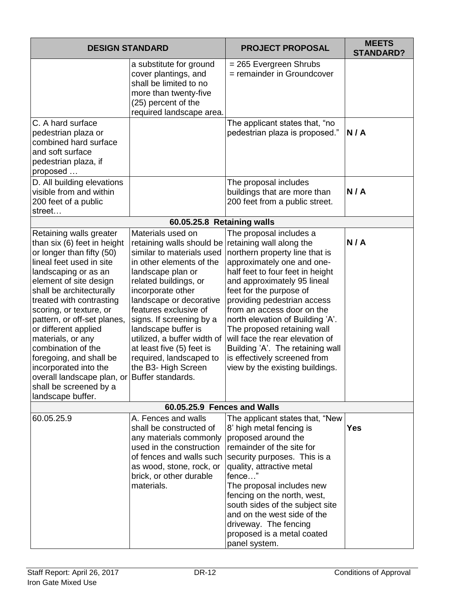| <b>DESIGN STANDARD</b>                                                                                                                                                                                                                                                                                                                                                                                                                                                                                    |                                                                                                                                                                                                                                                                                                                                                                                                 | <b>PROJECT PROPOSAL</b>                                                                                                                                                                                                                                                                                                                                                                                                                                                                     | <b>MEETS</b><br><b>STANDARD?</b> |
|-----------------------------------------------------------------------------------------------------------------------------------------------------------------------------------------------------------------------------------------------------------------------------------------------------------------------------------------------------------------------------------------------------------------------------------------------------------------------------------------------------------|-------------------------------------------------------------------------------------------------------------------------------------------------------------------------------------------------------------------------------------------------------------------------------------------------------------------------------------------------------------------------------------------------|---------------------------------------------------------------------------------------------------------------------------------------------------------------------------------------------------------------------------------------------------------------------------------------------------------------------------------------------------------------------------------------------------------------------------------------------------------------------------------------------|----------------------------------|
|                                                                                                                                                                                                                                                                                                                                                                                                                                                                                                           | a substitute for ground<br>cover plantings, and<br>shall be limited to no<br>more than twenty-five<br>(25) percent of the<br>required landscape area.                                                                                                                                                                                                                                           | = 265 Evergreen Shrubs<br>= remainder in Groundcover                                                                                                                                                                                                                                                                                                                                                                                                                                        |                                  |
| C. A hard surface<br>pedestrian plaza or<br>combined hard surface<br>and soft surface<br>pedestrian plaza, if<br>proposed                                                                                                                                                                                                                                                                                                                                                                                 |                                                                                                                                                                                                                                                                                                                                                                                                 | The applicant states that, "no<br>pedestrian plaza is proposed."                                                                                                                                                                                                                                                                                                                                                                                                                            | N/A                              |
| D. All building elevations<br>visible from and within<br>200 feet of a public<br>street                                                                                                                                                                                                                                                                                                                                                                                                                   |                                                                                                                                                                                                                                                                                                                                                                                                 | The proposal includes<br>buildings that are more than<br>200 feet from a public street.                                                                                                                                                                                                                                                                                                                                                                                                     | N/A                              |
|                                                                                                                                                                                                                                                                                                                                                                                                                                                                                                           | 60.05.25.8 Retaining walls                                                                                                                                                                                                                                                                                                                                                                      |                                                                                                                                                                                                                                                                                                                                                                                                                                                                                             |                                  |
| Retaining walls greater<br>than six (6) feet in height<br>or longer than fifty (50)<br>lineal feet used in site<br>landscaping or as an<br>element of site design<br>shall be architecturally<br>treated with contrasting<br>scoring, or texture, or<br>pattern, or off-set planes,<br>or different applied<br>materials, or any<br>combination of the<br>foregoing, and shall be<br>incorporated into the<br>overall landscape plan, or Buffer standards.<br>shall be screened by a<br>landscape buffer. | Materials used on<br>retaining walls should be<br>similar to materials used<br>in other elements of the<br>landscape plan or<br>related buildings, or<br>incorporate other<br>landscape or decorative<br>features exclusive of<br>signs. If screening by a<br>landscape buffer is<br>utilized, a buffer width of<br>at least five (5) feet is<br>required, landscaped to<br>the B3- High Screen | The proposal includes a<br>retaining wall along the<br>northern property line that is<br>approximately one and one-<br>half feet to four feet in height<br>and approximately 95 lineal<br>feet for the purpose of<br>providing pedestrian access<br>from an access door on the<br>north elevation of Building 'A'.<br>The proposed retaining wall<br>will face the rear elevation of<br>Building 'A'. The retaining wall<br>is effectively screened from<br>view by the existing buildings. | N/A                              |
|                                                                                                                                                                                                                                                                                                                                                                                                                                                                                                           | 60.05.25.9 Fences and Walls                                                                                                                                                                                                                                                                                                                                                                     |                                                                                                                                                                                                                                                                                                                                                                                                                                                                                             |                                  |
| 60.05.25.9                                                                                                                                                                                                                                                                                                                                                                                                                                                                                                | A. Fences and walls<br>shall be constructed of<br>any materials commonly<br>used in the construction<br>of fences and walls such<br>as wood, stone, rock, or<br>brick, or other durable<br>materials.                                                                                                                                                                                           | The applicant states that, "New<br>8' high metal fencing is<br>proposed around the<br>remainder of the site for<br>security purposes. This is a<br>quality, attractive metal<br>fence"<br>The proposal includes new<br>fencing on the north, west,<br>south sides of the subject site<br>and on the west side of the<br>driveway. The fencing<br>proposed is a metal coated<br>panel system.                                                                                                | <b>Yes</b>                       |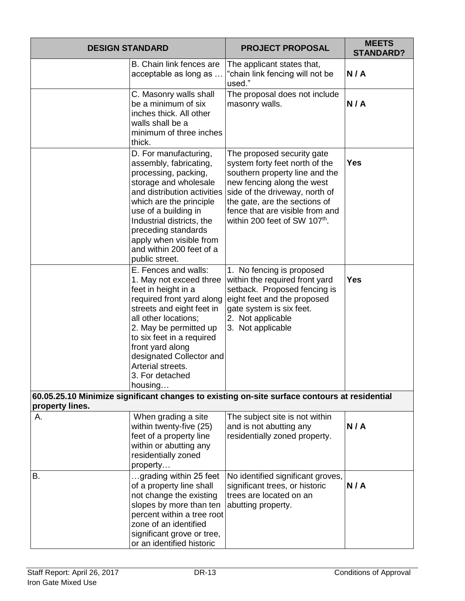| <b>DESIGN STANDARD</b> |                                                                                                                                                                                                                                                                                                                    | <b>PROJECT PROPOSAL</b>                                                                                                                                                                                                                                                         | <b>MEETS</b><br><b>STANDARD?</b> |
|------------------------|--------------------------------------------------------------------------------------------------------------------------------------------------------------------------------------------------------------------------------------------------------------------------------------------------------------------|---------------------------------------------------------------------------------------------------------------------------------------------------------------------------------------------------------------------------------------------------------------------------------|----------------------------------|
|                        | B. Chain link fences are<br>acceptable as long as                                                                                                                                                                                                                                                                  | The applicant states that,<br>"chain link fencing will not be<br>used."                                                                                                                                                                                                         | N/A                              |
|                        | C. Masonry walls shall<br>be a minimum of six<br>inches thick. All other<br>walls shall be a<br>minimum of three inches<br>thick.                                                                                                                                                                                  | The proposal does not include<br>masonry walls.                                                                                                                                                                                                                                 | N/A                              |
|                        | D. For manufacturing,<br>assembly, fabricating,<br>processing, packing,<br>storage and wholesale<br>and distribution activities<br>which are the principle<br>use of a building in<br>Industrial districts, the<br>preceding standards<br>apply when visible from<br>and within 200 feet of a<br>public street.    | The proposed security gate<br>system forty feet north of the<br>southern property line and the<br>new fencing along the west<br>side of the driveway, north of<br>the gate, are the sections of<br>fence that are visible from and<br>within 200 feet of SW 107 <sup>th</sup> . | <b>Yes</b>                       |
|                        | E. Fences and walls:<br>1. May not exceed three<br>feet in height in a<br>required front yard along<br>streets and eight feet in<br>all other locations;<br>2. May be permitted up<br>to six feet in a required<br>front yard along<br>designated Collector and<br>Arterial streets.<br>3. For detached<br>housing | 1. No fencing is proposed<br>within the required front yard<br>setback. Proposed fencing is<br>eight feet and the proposed<br>gate system is six feet.<br>2. Not applicable<br>3. Not applicable                                                                                | <b>Yes</b>                       |
| property lines.        |                                                                                                                                                                                                                                                                                                                    | 60.05.25.10 Minimize significant changes to existing on-site surface contours at residential                                                                                                                                                                                    |                                  |
| А.                     | When grading a site<br>within twenty-five (25)<br>feet of a property line<br>within or abutting any<br>residentially zoned<br>property                                                                                                                                                                             | The subject site is not within<br>and is not abutting any<br>residentially zoned property.                                                                                                                                                                                      | N/A                              |
| В.                     | grading within 25 feet<br>of a property line shall<br>not change the existing<br>slopes by more than ten<br>percent within a tree root<br>zone of an identified<br>significant grove or tree,<br>or an identified historic                                                                                         | No identified significant groves,<br>significant trees, or historic<br>trees are located on an<br>abutting property.                                                                                                                                                            | N/A                              |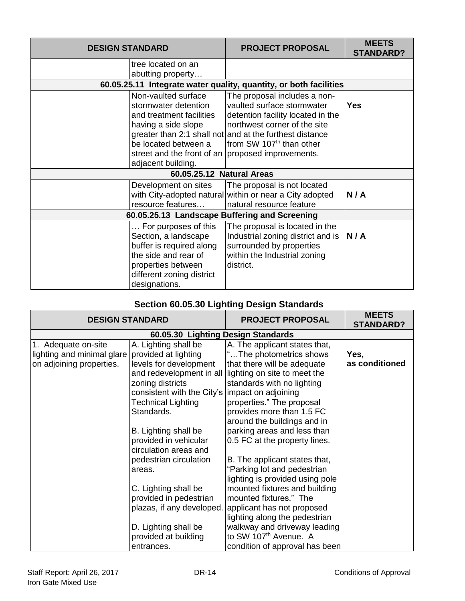| <b>DESIGN STANDARD</b> |                                                                                                                                                                      | <b>PROJECT PROPOSAL</b>                                                                                                                                                                                                                                                                 | <b>MEETS</b><br><b>STANDARD?</b> |
|------------------------|----------------------------------------------------------------------------------------------------------------------------------------------------------------------|-----------------------------------------------------------------------------------------------------------------------------------------------------------------------------------------------------------------------------------------------------------------------------------------|----------------------------------|
|                        | tree located on an<br>abutting property                                                                                                                              |                                                                                                                                                                                                                                                                                         |                                  |
|                        |                                                                                                                                                                      | 60.05.25.11 Integrate water quality, quantity, or both facilities                                                                                                                                                                                                                       |                                  |
|                        | Non-vaulted surface<br>stormwater detention<br>and treatment facilities<br>having a side slope<br>be located between a<br>adjacent building.                         | The proposal includes a non-<br>vaulted surface stormwater<br>detention facility located in the<br>northwest corner of the site<br>greater than 2:1 shall not and at the furthest distance<br>from SW 107 <sup>th</sup> than other<br>street and the front of an proposed improvements. | <b>Yes</b>                       |
|                        | 60.05.25.12 Natural Areas                                                                                                                                            |                                                                                                                                                                                                                                                                                         |                                  |
|                        | Development on sites<br>resource features                                                                                                                            | The proposal is not located<br>with City-adopted natural within or near a City adopted<br>natural resource feature                                                                                                                                                                      | N/A                              |
|                        | 60.05.25.13 Landscape Buffering and Screening                                                                                                                        |                                                                                                                                                                                                                                                                                         |                                  |
|                        | For purposes of this<br>Section, a landscape<br>buffer is required along<br>the side and rear of<br>properties between<br>different zoning district<br>designations. | The proposal is located in the<br>Industrial zoning district and is<br>surrounded by properties<br>within the Industrial zoning<br>district.                                                                                                                                            | N/A                              |

# **Section 60.05.30 Lighting Design Standards**

| <b>DESIGN STANDARD</b>             |                            | <b>PROJECT PROPOSAL</b>           | <b>MEETS</b><br><b>STANDARD?</b> |  |
|------------------------------------|----------------------------|-----------------------------------|----------------------------------|--|
| 60.05.30 Lighting Design Standards |                            |                                   |                                  |  |
| 1. Adequate on-site                | A. Lighting shall be       | A. The applicant states that,     |                                  |  |
| lighting and minimal glare         | provided at lighting       | "The photometrics shows           | Yes,                             |  |
| on adjoining properties.           | levels for development     | that there will be adequate       | as conditioned                   |  |
|                                    | and redevelopment in all   | lighting on site to meet the      |                                  |  |
|                                    | zoning districts           | standards with no lighting        |                                  |  |
|                                    | consistent with the City's | impact on adjoining               |                                  |  |
|                                    | Technical Lighting         | properties." The proposal         |                                  |  |
|                                    | Standards.                 | provides more than 1.5 FC         |                                  |  |
|                                    |                            | around the buildings and in       |                                  |  |
|                                    | B. Lighting shall be       | parking areas and less than       |                                  |  |
|                                    | provided in vehicular      | 0.5 FC at the property lines.     |                                  |  |
|                                    | circulation areas and      |                                   |                                  |  |
|                                    | pedestrian circulation     | B. The applicant states that,     |                                  |  |
|                                    | areas.                     | "Parking lot and pedestrian       |                                  |  |
|                                    |                            | lighting is provided using pole   |                                  |  |
|                                    | C. Lighting shall be       | mounted fixtures and building     |                                  |  |
|                                    | provided in pedestrian     | mounted fixtures." The            |                                  |  |
|                                    | plazas, if any developed.  | applicant has not proposed        |                                  |  |
|                                    |                            | lighting along the pedestrian     |                                  |  |
|                                    | D. Lighting shall be       | walkway and driveway leading      |                                  |  |
|                                    | provided at building       | to SW 107 <sup>th</sup> Avenue. A |                                  |  |
|                                    | entrances.                 | condition of approval has been    |                                  |  |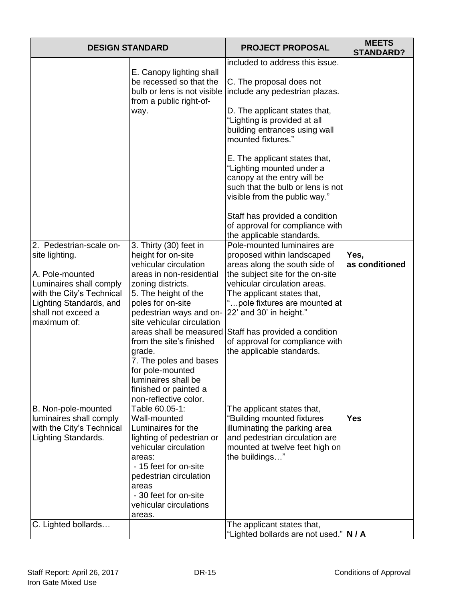| <b>DESIGN STANDARD</b>                                                                                                                  |                                                                                                                                                                                                                                                                        | <b>PROJECT PROPOSAL</b>                                                                                                                                                         | <b>MEETS</b><br><b>STANDARD?</b> |
|-----------------------------------------------------------------------------------------------------------------------------------------|------------------------------------------------------------------------------------------------------------------------------------------------------------------------------------------------------------------------------------------------------------------------|---------------------------------------------------------------------------------------------------------------------------------------------------------------------------------|----------------------------------|
|                                                                                                                                         | E. Canopy lighting shall<br>be recessed so that the<br>bulb or lens is not visible<br>from a public right-of-                                                                                                                                                          | included to address this issue.<br>C. The proposal does not<br>include any pedestrian plazas.                                                                                   |                                  |
|                                                                                                                                         | way.                                                                                                                                                                                                                                                                   | D. The applicant states that,<br>"Lighting is provided at all<br>building entrances using wall<br>mounted fixtures."                                                            |                                  |
|                                                                                                                                         |                                                                                                                                                                                                                                                                        | E. The applicant states that,<br>"Lighting mounted under a<br>canopy at the entry will be<br>such that the bulb or lens is not<br>visible from the public way."                 |                                  |
|                                                                                                                                         |                                                                                                                                                                                                                                                                        | Staff has provided a condition<br>of approval for compliance with<br>the applicable standards.                                                                                  |                                  |
| 2. Pedestrian-scale on-<br>site lighting.                                                                                               | 3. Thirty (30) feet in<br>height for on-site<br>vehicular circulation                                                                                                                                                                                                  | Pole-mounted luminaires are<br>proposed within landscaped<br>areas along the south side of                                                                                      | Yes,<br>as conditioned           |
| A. Pole-mounted<br>Luminaires shall comply<br>with the City's Technical<br>Lighting Standards, and<br>shall not exceed a<br>maximum of: | areas in non-residential<br>zoning districts.<br>5. The height of the<br>poles for on-site<br>pedestrian ways and on-<br>site vehicular circulation                                                                                                                    | the subject site for the on-site<br>vehicular circulation areas.<br>The applicant states that,<br>" pole fixtures are mounted at<br>22' and 30' in height."                     |                                  |
|                                                                                                                                         | areas shall be measured<br>from the site's finished<br>grade.<br>7. The poles and bases<br>for pole-mounted<br>luminaires shall be<br>finished or painted a                                                                                                            | Staff has provided a condition<br>of approval for compliance with<br>the applicable standards.                                                                                  |                                  |
| B. Non-pole-mounted<br>luminaires shall comply<br>with the City's Technical<br>Lighting Standards.                                      | non-reflective color.<br>Table 60.05-1:<br>Wall-mounted<br>Luminaires for the<br>lighting of pedestrian or<br>vehicular circulation<br>areas:<br>- 15 feet for on-site<br>pedestrian circulation<br>areas<br>- 30 feet for on-site<br>vehicular circulations<br>areas. | The applicant states that,<br>"Building mounted fixtures<br>illuminating the parking area<br>and pedestrian circulation are<br>mounted at twelve feet high on<br>the buildings" | <b>Yes</b>                       |
| C. Lighted bollards                                                                                                                     |                                                                                                                                                                                                                                                                        | The applicant states that,<br>"Lighted bollards are not used." N / A                                                                                                            |                                  |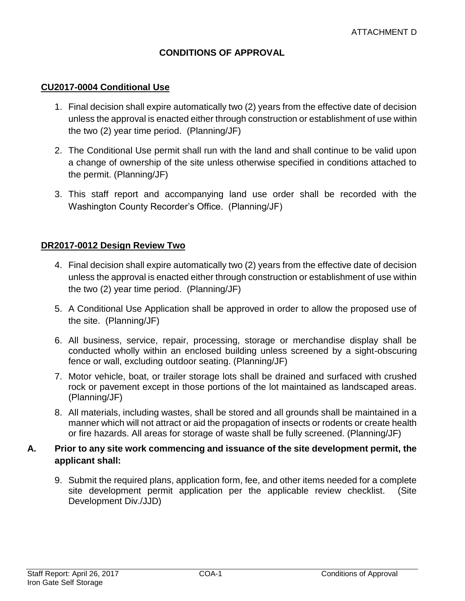# **CONDITIONS OF APPROVAL**

#### **CU2017-0004 Conditional Use**

- 1. Final decision shall expire automatically two (2) years from the effective date of decision unless the approval is enacted either through construction or establishment of use within the two (2) year time period. (Planning/JF)
- 2. The Conditional Use permit shall run with the land and shall continue to be valid upon a change of ownership of the site unless otherwise specified in conditions attached to the permit. (Planning/JF)
- 3. This staff report and accompanying land use order shall be recorded with the Washington County Recorder's Office. (Planning/JF)

#### **DR2017-0012 Design Review Two**

- 4. Final decision shall expire automatically two (2) years from the effective date of decision unless the approval is enacted either through construction or establishment of use within the two (2) year time period. (Planning/JF)
- 5. A Conditional Use Application shall be approved in order to allow the proposed use of the site. (Planning/JF)
- 6. All business, service, repair, processing, storage or merchandise display shall be conducted wholly within an enclosed building unless screened by a sight-obscuring fence or wall, excluding outdoor seating. (Planning/JF)
- 7. Motor vehicle, boat, or trailer storage lots shall be drained and surfaced with crushed rock or pavement except in those portions of the lot maintained as landscaped areas. (Planning/JF)
- 8. All materials, including wastes, shall be stored and all grounds shall be maintained in a manner which will not attract or aid the propagation of insects or rodents or create health or fire hazards. All areas for storage of waste shall be fully screened. (Planning/JF)

#### **A. Prior to any site work commencing and issuance of the site development permit, the applicant shall:**

9. Submit the required plans, application form, fee, and other items needed for a complete site development permit application per the applicable review checklist. (Site Development Div./JJD)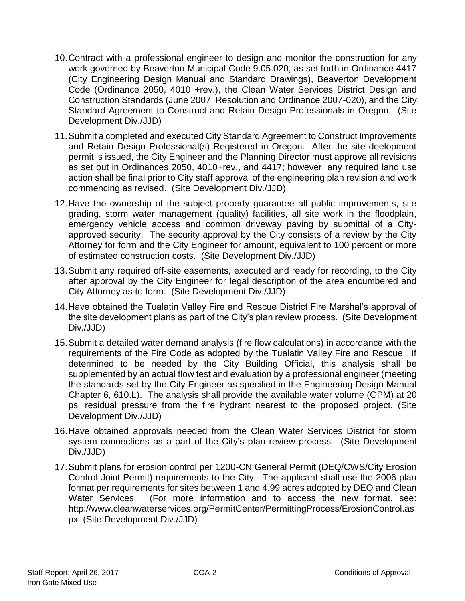- 10.Contract with a professional engineer to design and monitor the construction for any work governed by Beaverton Municipal Code 9.05.020, as set forth in Ordinance 4417 (City Engineering Design Manual and Standard Drawings), Beaverton Development Code (Ordinance 2050, 4010 +rev.), the Clean Water Services District Design and Construction Standards (June 2007, Resolution and Ordinance 2007-020), and the City Standard Agreement to Construct and Retain Design Professionals in Oregon. (Site Development Div./JJD)
- 11.Submit a completed and executed City Standard Agreement to Construct Improvements and Retain Design Professional(s) Registered in Oregon. After the site deelopment permit is issued, the City Engineer and the Planning Director must approve all revisions as set out in Ordinances 2050, 4010+rev., and 4417; however, any required land use action shall be final prior to City staff approval of the engineering plan revision and work commencing as revised. (Site Development Div./JJD)
- 12.Have the ownership of the subject property guarantee all public improvements, site grading, storm water management (quality) facilities, all site work in the floodplain, emergency vehicle access and common driveway paving by submittal of a Cityapproved security. The security approval by the City consists of a review by the City Attorney for form and the City Engineer for amount, equivalent to 100 percent or more of estimated construction costs. (Site Development Div./JJD)
- 13.Submit any required off-site easements, executed and ready for recording, to the City after approval by the City Engineer for legal description of the area encumbered and City Attorney as to form. (Site Development Div./JJD)
- 14.Have obtained the Tualatin Valley Fire and Rescue District Fire Marshal's approval of the site development plans as part of the City's plan review process. (Site Development Div./JJD)
- 15.Submit a detailed water demand analysis (fire flow calculations) in accordance with the requirements of the Fire Code as adopted by the Tualatin Valley Fire and Rescue. If determined to be needed by the City Building Official, this analysis shall be supplemented by an actual flow test and evaluation by a professional engineer (meeting the standards set by the City Engineer as specified in the Engineering Design Manual Chapter 6, 610.L). The analysis shall provide the available water volume (GPM) at 20 psi residual pressure from the fire hydrant nearest to the proposed project. (Site Development Div./JJD)
- 16.Have obtained approvals needed from the Clean Water Services District for storm system connections as a part of the City's plan review process. (Site Development Div./JJD)
- 17.Submit plans for erosion control per 1200-CN General Permit (DEQ/CWS/City Erosion Control Joint Permit) requirements to the City. The applicant shall use the 2006 plan format per requirements for sites between 1 and 4.99 acres adopted by DEQ and Clean Water Services. (For more information and to access the new format, see: [http://www.cleanwaterservices.org/PermitCenter/PermittingProcess/ErosionControl.as](http://www.cleanwaterservices.org/PermitCenter/PermittingProcess/ErosionControl.aspx) [px](http://www.cleanwaterservices.org/PermitCenter/PermittingProcess/ErosionControl.aspx) (Site Development Div./JJD)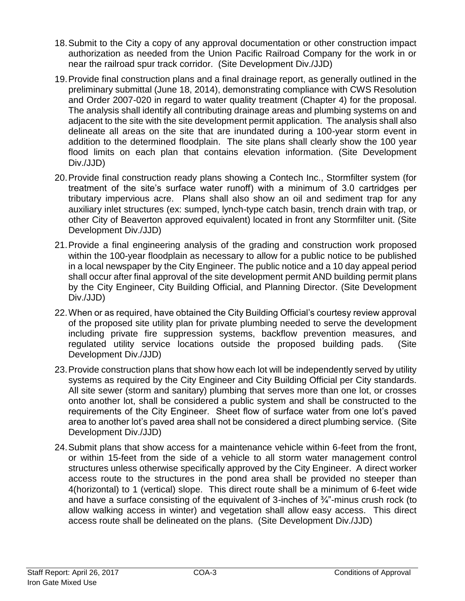- 18.Submit to the City a copy of any approval documentation or other construction impact authorization as needed from the Union Pacific Railroad Company for the work in or near the railroad spur track corridor. (Site Development Div./JJD)
- 19.Provide final construction plans and a final drainage report, as generally outlined in the preliminary submittal (June 18, 2014), demonstrating compliance with CWS Resolution and Order 2007-020 in regard to water quality treatment (Chapter 4) for the proposal. The analysis shall identify all contributing drainage areas and plumbing systems on and adjacent to the site with the site development permit application. The analysis shall also delineate all areas on the site that are inundated during a 100-year storm event in addition to the determined floodplain. The site plans shall clearly show the 100 year flood limits on each plan that contains elevation information. (Site Development Div./JJD)
- 20.Provide final construction ready plans showing a Contech Inc., Stormfilter system (for treatment of the site's surface water runoff) with a minimum of 3.0 cartridges per tributary impervious acre. Plans shall also show an oil and sediment trap for any auxiliary inlet structures (ex: sumped, lynch-type catch basin, trench drain with trap, or other City of Beaverton approved equivalent) located in front any Stormfilter unit. (Site Development Div./JJD)
- 21.Provide a final engineering analysis of the grading and construction work proposed within the 100-year floodplain as necessary to allow for a public notice to be published in a local newspaper by the City Engineer. The public notice and a 10 day appeal period shall occur after final approval of the site development permit AND building permit plans by the City Engineer, City Building Official, and Planning Director. (Site Development Div./JJD)
- 22.When or as required, have obtained the City Building Official's courtesy review approval of the proposed site utility plan for private plumbing needed to serve the development including private fire suppression systems, backflow prevention measures, and regulated utility service locations outside the proposed building pads. (Site Development Div./JJD)
- 23.Provide construction plans that show how each lot will be independently served by utility systems as required by the City Engineer and City Building Official per City standards. All site sewer (storm and sanitary) plumbing that serves more than one lot, or crosses onto another lot, shall be considered a public system and shall be constructed to the requirements of the City Engineer. Sheet flow of surface water from one lot's paved area to another lot's paved area shall not be considered a direct plumbing service. (Site Development Div./JJD)
- 24.Submit plans that show access for a maintenance vehicle within 6-feet from the front, or within 15-feet from the side of a vehicle to all storm water management control structures unless otherwise specifically approved by the City Engineer. A direct worker access route to the structures in the pond area shall be provided no steeper than 4(horizontal) to 1 (vertical) slope. This direct route shall be a minimum of 6-feet wide and have a surface consisting of the equivalent of 3-inches of  $\frac{3}{4}$ -minus crush rock (to allow walking access in winter) and vegetation shall allow easy access. This direct access route shall be delineated on the plans. (Site Development Div./JJD)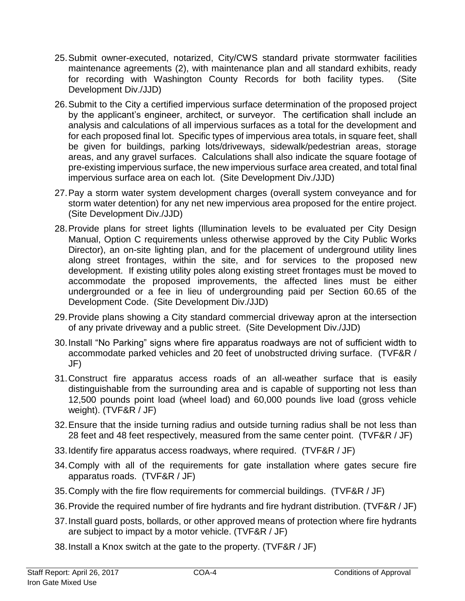- 25.Submit owner-executed, notarized, City/CWS standard private stormwater facilities maintenance agreements (2), with maintenance plan and all standard exhibits, ready for recording with Washington County Records for both facility types. (Site Development Div./JJD)
- 26.Submit to the City a certified impervious surface determination of the proposed project by the applicant's engineer, architect, or surveyor. The certification shall include an analysis and calculations of all impervious surfaces as a total for the development and for each proposed final lot. Specific types of impervious area totals, in square feet, shall be given for buildings, parking lots/driveways, sidewalk/pedestrian areas, storage areas, and any gravel surfaces. Calculations shall also indicate the square footage of pre-existing impervious surface, the new impervious surface area created, and total final impervious surface area on each lot. (Site Development Div./JJD)
- 27.Pay a storm water system development charges (overall system conveyance and for storm water detention) for any net new impervious area proposed for the entire project. (Site Development Div./JJD)
- 28.Provide plans for street lights (Illumination levels to be evaluated per City Design Manual, Option C requirements unless otherwise approved by the City Public Works Director), an on-site lighting plan, and for the placement of underground utility lines along street frontages, within the site, and for services to the proposed new development. If existing utility poles along existing street frontages must be moved to accommodate the proposed improvements, the affected lines must be either undergrounded or a fee in lieu of undergrounding paid per Section 60.65 of the Development Code. (Site Development Div./JJD)
- 29.Provide plans showing a City standard commercial driveway apron at the intersection of any private driveway and a public street. (Site Development Div./JJD)
- 30.Install "No Parking" signs where fire apparatus roadways are not of sufficient width to accommodate parked vehicles and 20 feet of unobstructed driving surface. (TVF&R / JF)
- 31.Construct fire apparatus access roads of an all-weather surface that is easily distinguishable from the surrounding area and is capable of supporting not less than 12,500 pounds point load (wheel load) and 60,000 pounds live load (gross vehicle weight). (TVF&R / JF)
- 32.Ensure that the inside turning radius and outside turning radius shall be not less than 28 feet and 48 feet respectively, measured from the same center point. (TVF&R / JF)
- 33.Identify fire apparatus access roadways, where required. (TVF&R / JF)
- 34.Comply with all of the requirements for gate installation where gates secure fire apparatus roads. (TVF&R / JF)
- 35.Comply with the fire flow requirements for commercial buildings. (TVF&R / JF)
- 36.Provide the required number of fire hydrants and fire hydrant distribution. (TVF&R / JF)
- 37.Install guard posts, bollards, or other approved means of protection where fire hydrants are subject to impact by a motor vehicle. (TVF&R / JF)
- 38.Install a Knox switch at the gate to the property. (TVF&R / JF)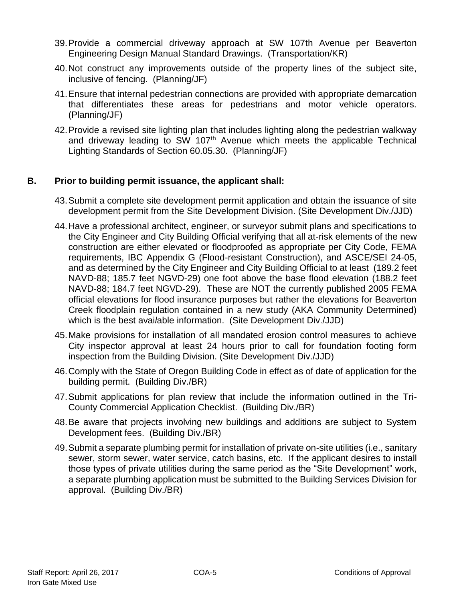- 39.Provide a commercial driveway approach at SW 107th Avenue per Beaverton Engineering Design Manual Standard Drawings. (Transportation/KR)
- 40.Not construct any improvements outside of the property lines of the subject site, inclusive of fencing. (Planning/JF)
- 41.Ensure that internal pedestrian connections are provided with appropriate demarcation that differentiates these areas for pedestrians and motor vehicle operators. (Planning/JF)
- 42.Provide a revised site lighting plan that includes lighting along the pedestrian walkway and driveway leading to SW 107<sup>th</sup> Avenue which meets the applicable Technical Lighting Standards of Section 60.05.30. (Planning/JF)

# **B. Prior to building permit issuance, the applicant shall:**

- 43.Submit a complete site development permit application and obtain the issuance of site development permit from the Site Development Division. (Site Development Div./JJD)
- 44.Have a professional architect, engineer, or surveyor submit plans and specifications to the City Engineer and City Building Official verifying that all at-risk elements of the new construction are either elevated or floodproofed as appropriate per City Code, FEMA requirements, IBC Appendix G (Flood-resistant Construction), and ASCE/SEI 24-05, and as determined by the City Engineer and City Building Official to at least (189.2 feet NAVD-88; 185.7 feet NGVD-29) one foot above the base flood elevation (188.2 feet NAVD-88; 184.7 feet NGVD-29). These are NOT the currently published 2005 FEMA official elevations for flood insurance purposes but rather the elevations for Beaverton Creek floodplain regulation contained in a new study (AKA Community Determined) which is the best avai*l*able information. (Site Development Div./JJD)
- 45.Make provisions for installation of all mandated erosion control measures to achieve City inspector approval at least 24 hours prior to call for foundation footing form inspection from the Building Division. (Site Development Div./JJD)
- 46.Comply with the State of Oregon Building Code in effect as of date of application for the building permit. (Building Div./BR)
- 47.Submit applications for plan review that include the information outlined in the Tri-County Commercial Application Checklist. (Building Div./BR)
- 48.Be aware that projects involving new buildings and additions are subject to System Development fees. (Building Div./BR)
- 49.Submit a separate plumbing permit for installation of private on-site utilities (i.e., sanitary sewer, storm sewer, water service, catch basins, etc. If the applicant desires to install those types of private utilities during the same period as the "Site Development" work, a separate plumbing application must be submitted to the Building Services Division for approval. (Building Div./BR)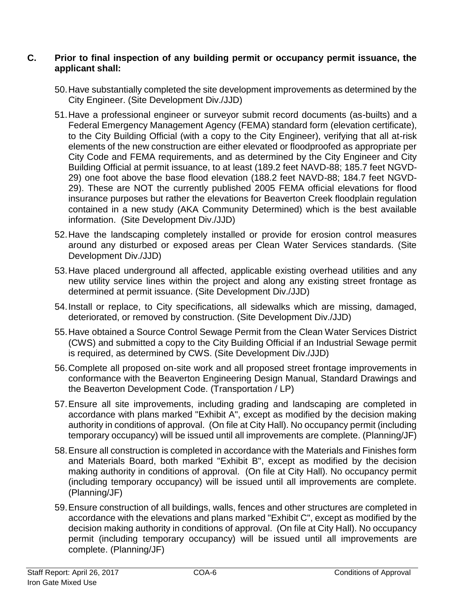### **C. Prior to final inspection of any building permit or occupancy permit issuance, the applicant shall:**

- 50.Have substantially completed the site development improvements as determined by the City Engineer. (Site Development Div./JJD)
- 51.Have a professional engineer or surveyor submit record documents (as-builts) and a Federal Emergency Management Agency (FEMA) standard form (elevation certificate), to the City Building Official (with a copy to the City Engineer), verifying that all at-risk elements of the new construction are either elevated or floodproofed as appropriate per City Code and FEMA requirements, and as determined by the City Engineer and City Building Official at permit issuance, to at least (189.2 feet NAVD-88; 185.7 feet NGVD-29) one foot above the base flood elevation (188.2 feet NAVD-88; 184.7 feet NGVD-29). These are NOT the currently published 2005 FEMA official elevations for flood insurance purposes but rather the elevations for Beaverton Creek floodplain regulation contained in a new study (AKA Community Determined) which is the best available information. (Site Development Div./JJD)
- 52.Have the landscaping completely installed or provide for erosion control measures around any disturbed or exposed areas per Clean Water Services standards. (Site Development Div./JJD)
- 53.Have placed underground all affected, applicable existing overhead utilities and any new utility service lines within the project and along any existing street frontage as determined at permit issuance. (Site Development Div./JJD)
- 54.Install or replace, to City specifications, all sidewalks which are missing, damaged, deteriorated, or removed by construction. (Site Development Div./JJD)
- 55.Have obtained a Source Control Sewage Permit from the Clean Water Services District (CWS) and submitted a copy to the City Building Official if an Industrial Sewage permit is required, as determined by CWS. (Site Development Div./JJD)
- 56.Complete all proposed on-site work and all proposed street frontage improvements in conformance with the Beaverton Engineering Design Manual, Standard Drawings and the Beaverton Development Code. (Transportation / LP)
- 57.Ensure all site improvements, including grading and landscaping are completed in accordance with plans marked "Exhibit A", except as modified by the decision making authority in conditions of approval. (On file at City Hall). No occupancy permit (including temporary occupancy) will be issued until all improvements are complete. (Planning/JF)
- 58.Ensure all construction is completed in accordance with the Materials and Finishes form and Materials Board, both marked "Exhibit B", except as modified by the decision making authority in conditions of approval. (On file at City Hall). No occupancy permit (including temporary occupancy) will be issued until all improvements are complete. (Planning/JF)
- 59.Ensure construction of all buildings, walls, fences and other structures are completed in accordance with the elevations and plans marked "Exhibit C", except as modified by the decision making authority in conditions of approval. (On file at City Hall). No occupancy permit (including temporary occupancy) will be issued until all improvements are complete. (Planning/JF)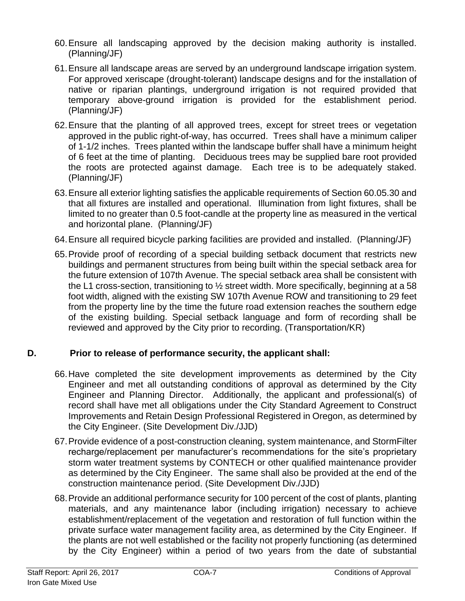- 60.Ensure all landscaping approved by the decision making authority is installed. (Planning/JF)
- 61.Ensure all landscape areas are served by an underground landscape irrigation system. For approved xeriscape (drought-tolerant) landscape designs and for the installation of native or riparian plantings, underground irrigation is not required provided that temporary above-ground irrigation is provided for the establishment period. (Planning/JF)
- 62.Ensure that the planting of all approved trees, except for street trees or vegetation approved in the public right-of-way, has occurred. Trees shall have a minimum caliper of 1-1/2 inches. Trees planted within the landscape buffer shall have a minimum height of 6 feet at the time of planting. Deciduous trees may be supplied bare root provided the roots are protected against damage. Each tree is to be adequately staked. (Planning/JF)
- 63.Ensure all exterior lighting satisfies the applicable requirements of Section 60.05.30 and that all fixtures are installed and operational. Illumination from light fixtures, shall be limited to no greater than 0.5 foot-candle at the property line as measured in the vertical and horizontal plane. (Planning/JF)
- 64.Ensure all required bicycle parking facilities are provided and installed. (Planning/JF)
- 65.Provide proof of recording of a special building setback document that restricts new buildings and permanent structures from being built within the special setback area for the future extension of 107th Avenue. The special setback area shall be consistent with the L1 cross-section, transitioning to ½ street width. More specifically, beginning at a 58 foot width, aligned with the existing SW 107th Avenue ROW and transitioning to 29 feet from the property line by the time the future road extension reaches the southern edge of the existing building. Special setback language and form of recording shall be reviewed and approved by the City prior to recording. (Transportation/KR)

# **D. Prior to release of performance security, the applicant shall:**

- 66.Have completed the site development improvements as determined by the City Engineer and met all outstanding conditions of approval as determined by the City Engineer and Planning Director. Additionally, the applicant and professional(s) of record shall have met all obligations under the City Standard Agreement to Construct Improvements and Retain Design Professional Registered in Oregon, as determined by the City Engineer. (Site Development Div./JJD)
- 67.Provide evidence of a post-construction cleaning, system maintenance, and StormFilter recharge/replacement per manufacturer's recommendations for the site's proprietary storm water treatment systems by CONTECH or other qualified maintenance provider as determined by the City Engineer. The same shall also be provided at the end of the construction maintenance period. (Site Development Div./JJD)
- 68.Provide an additional performance security for 100 percent of the cost of plants, planting materials, and any maintenance labor (including irrigation) necessary to achieve establishment/replacement of the vegetation and restoration of full function within the private surface water management facility area, as determined by the City Engineer. If the plants are not well established or the facility not properly functioning (as determined by the City Engineer) within a period of two years from the date of substantial